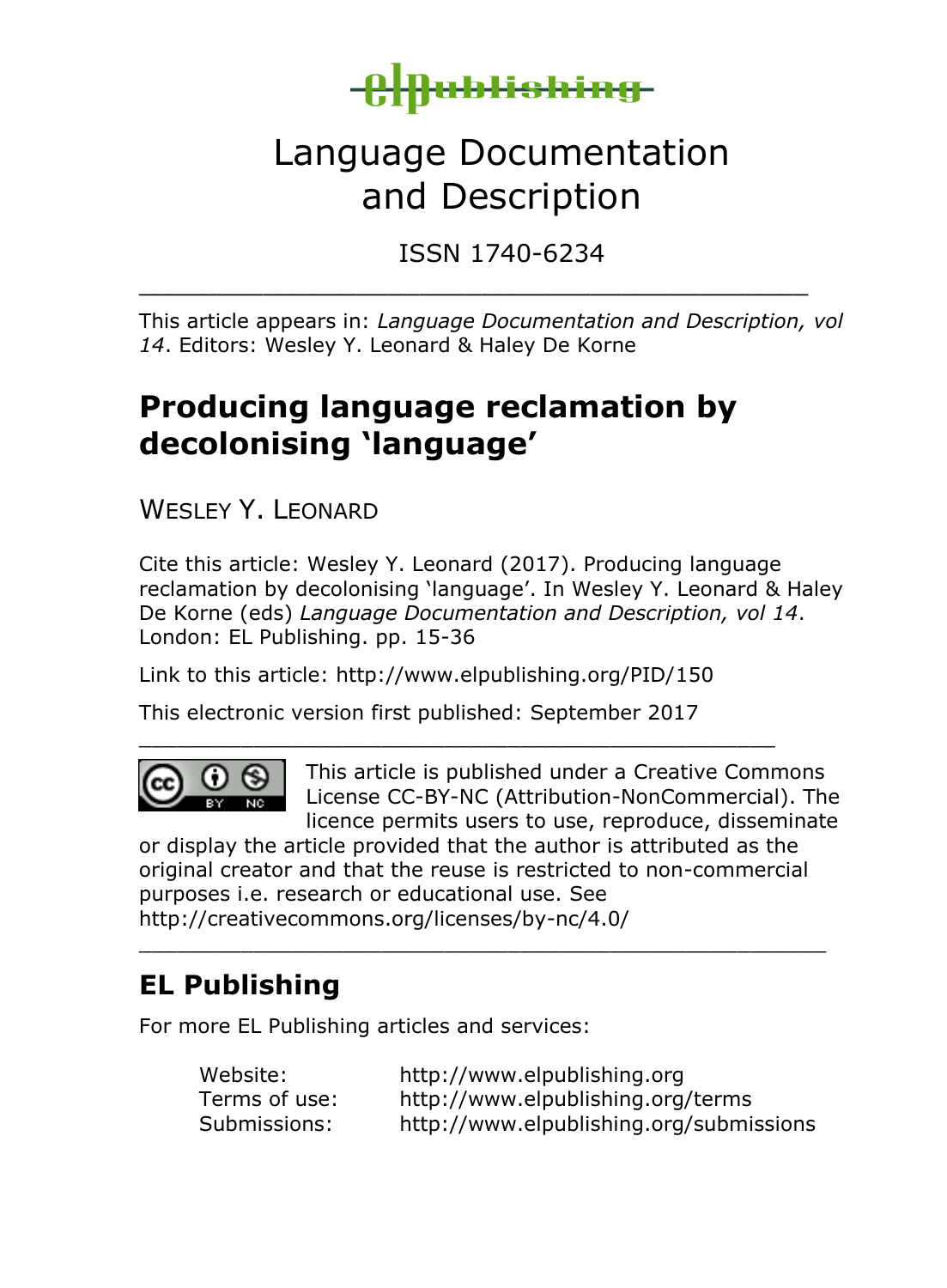

# Language Documentation and Description

ISSN 1740-6234

This article appears in: *Language Documentation and Description, vol 14*. Editors: Wesley Y. Leonard & Haley De Korne

\_\_\_\_\_\_\_\_\_\_\_\_\_\_\_\_\_\_\_\_\_\_\_\_\_\_\_\_\_\_\_\_\_\_\_\_\_\_\_\_\_\_\_

# **Producing language reclamation by decolonising 'language'**

WESLEY Y. LEONARD

Cite this article: Wesley Y. Leonard (2017). Producing language reclamation by decolonising 'language'. In Wesley Y. Leonard & Haley De Korne (eds) *Language Documentation and Description, vol 14*. London: EL Publishing. pp. 15-36

Link to this article: http://www.elpublishing.org/PID/150

\_\_\_\_\_\_\_\_\_\_\_\_\_\_\_\_\_\_\_\_\_\_\_\_\_\_\_\_\_\_\_\_\_\_\_\_\_\_\_\_\_\_\_\_\_\_\_\_\_\_

This electronic version first published: September 2017



This article is published under a Creative Commons License CC-BY-NC (Attribution-NonCommercial). The licence permits users to use, reproduce, disseminate

or display the article provided that the author is attributed as the original creator and that the reuse is restricted to non-commercial purposes i.e. research or educational use. See http://creativecommons.org/licenses/by-nc/4.0/

\_\_\_\_\_\_\_\_\_\_\_\_\_\_\_\_\_\_\_\_\_\_\_\_\_\_\_\_\_\_\_\_\_\_\_\_\_\_\_\_\_\_\_\_\_\_\_\_\_\_\_\_\_\_

## **EL Publishing**

For more EL Publishing articles and services:

| Website:      | http://www.elpublishing.org             |
|---------------|-----------------------------------------|
| Terms of use: | http://www.elpublishing.org/terms       |
| Submissions:  | http://www.elpublishing.org/submissions |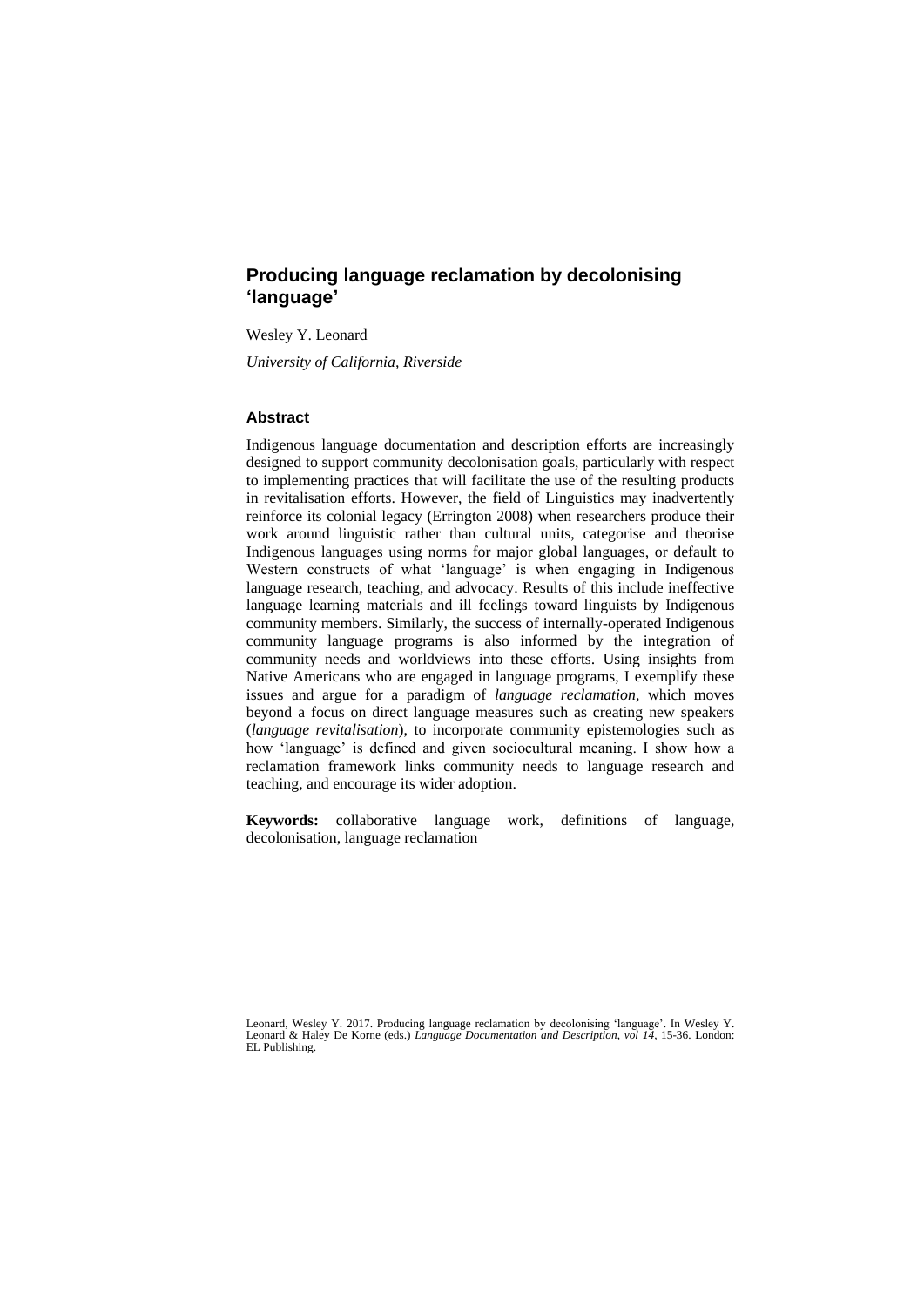## **Producing language reclamation by decolonising 'language'**

Wesley Y. Leonard

*University of California, Riverside*

## **Abstract**

Indigenous language documentation and description efforts are increasingly designed to support community decolonisation goals, particularly with respect to implementing practices that will facilitate the use of the resulting products in revitalisation efforts. However, the field of Linguistics may inadvertently reinforce its colonial legacy (Errington 2008) when researchers produce their work around linguistic rather than cultural units, categorise and theorise Indigenous languages using norms for major global languages, or default to Western constructs of what 'language' is when engaging in Indigenous language research, teaching, and advocacy. Results of this include ineffective language learning materials and ill feelings toward linguists by Indigenous community members. Similarly, the success of internally-operated Indigenous community language programs is also informed by the integration of community needs and worldviews into these efforts. Using insights from Native Americans who are engaged in language programs, I exemplify these issues and argue for a paradigm of *language reclamation*, which moves beyond a focus on direct language measures such as creating new speakers (*language revitalisation*), to incorporate community epistemologies such as how 'language' is defined and given sociocultural meaning. I show how a reclamation framework links community needs to language research and teaching, and encourage its wider adoption.

**Keywords:** collaborative language work, definitions of language, decolonisation, language reclamation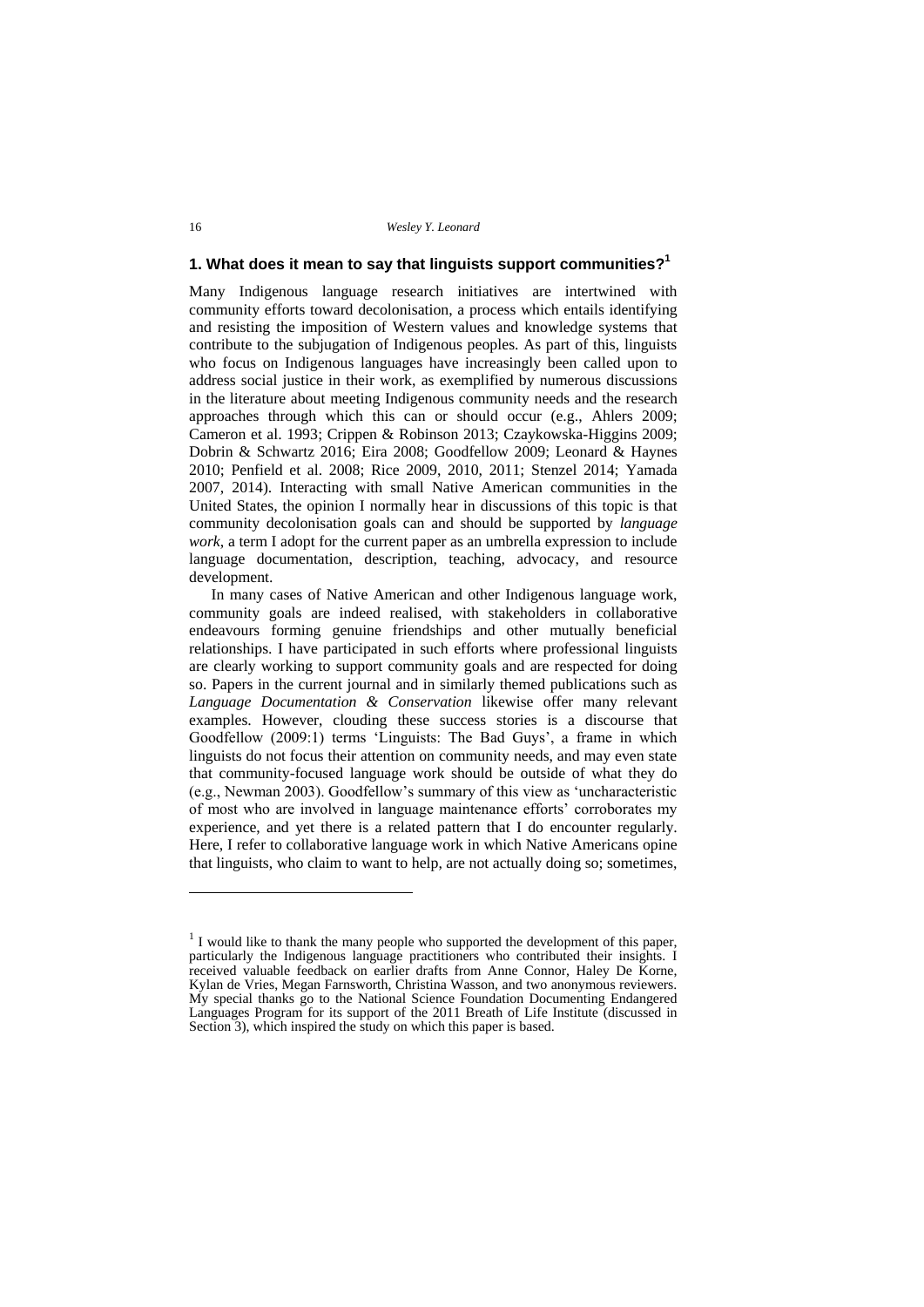## **1. What does it mean to say that linguists support communities?<sup>1</sup>**

Many Indigenous language research initiatives are intertwined with community efforts toward decolonisation, a process which entails identifying and resisting the imposition of Western values and knowledge systems that contribute to the subjugation of Indigenous peoples. As part of this, linguists who focus on Indigenous languages have increasingly been called upon to address social justice in their work, as exemplified by numerous discussions in the literature about meeting Indigenous community needs and the research approaches through which this can or should occur (e.g., Ahlers 2009; Cameron et al. 1993; Crippen & Robinson 2013; Czaykowska-Higgins 2009; Dobrin & Schwartz 2016; Eira 2008; Goodfellow 2009; Leonard & Haynes 2010; Penfield et al. 2008; Rice 2009, 2010, 2011; Stenzel 2014; Yamada 2007, 2014). Interacting with small Native American communities in the United States, the opinion I normally hear in discussions of this topic is that community decolonisation goals can and should be supported by *language work*, a term I adopt for the current paper as an umbrella expression to include language documentation, description, teaching, advocacy, and resource development.

In many cases of Native American and other Indigenous language work, community goals are indeed realised, with stakeholders in collaborative endeavours forming genuine friendships and other mutually beneficial relationships. I have participated in such efforts where professional linguists are clearly working to support community goals and are respected for doing so. Papers in the current journal and in similarly themed publications such as *Language Documentation & Conservation* likewise offer many relevant examples. However, clouding these success stories is a discourse that Goodfellow (2009:1) terms 'Linguists: The Bad Guys', a frame in which linguists do not focus their attention on community needs, and may even state that community-focused language work should be outside of what they do (e.g., Newman 2003). Goodfellow's summary of this view as 'uncharacteristic of most who are involved in language maintenance efforts' corroborates my experience, and yet there is a related pattern that I do encounter regularly. Here, I refer to collaborative language work in which Native Americans opine that linguists, who claim to want to help, are not actually doing so; sometimes,

 $<sup>1</sup>$  I would like to thank the many people who supported the development of this paper,</sup> particularly the Indigenous language practitioners who contributed their insights. I received valuable feedback on earlier drafts from Anne Connor, Haley De Korne, Kylan de Vries, Megan Farnsworth, Christina Wasson, and two anonymous reviewers. My special thanks go to the National Science Foundation Documenting Endangered Languages Program for its support of the 2011 Breath of Life Institute (discussed in Section 3), which inspired the study on which this paper is based.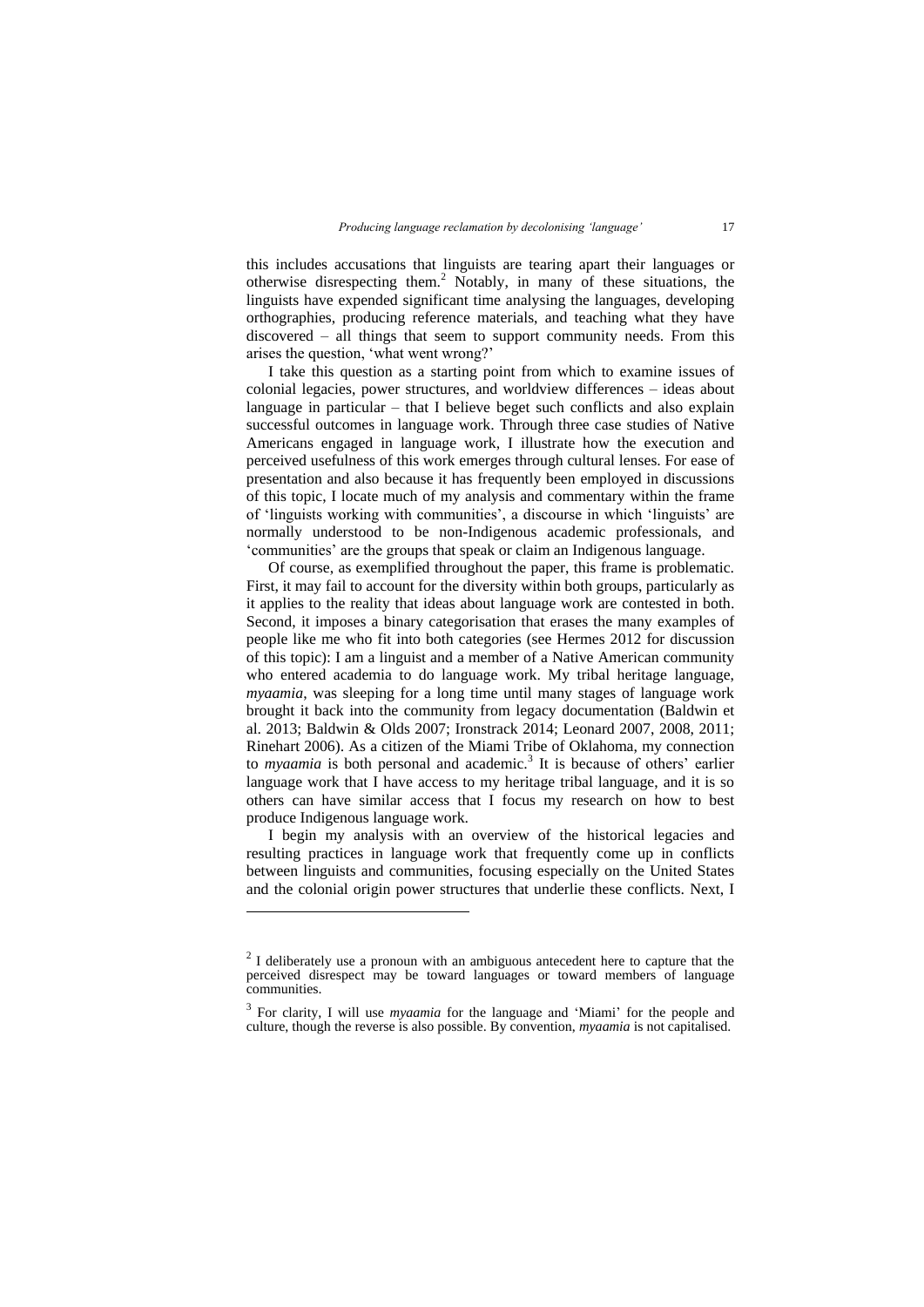this includes accusations that linguists are tearing apart their languages or otherwise disrespecting them.<sup>2</sup> Notably, in many of these situations, the linguists have expended significant time analysing the languages, developing orthographies, producing reference materials, and teaching what they have discovered – all things that seem to support community needs. From this arises the question, 'what went wrong?'

I take this question as a starting point from which to examine issues of colonial legacies, power structures, and worldview differences – ideas about language in particular  $-$  that I believe beget such conflicts and also explain successful outcomes in language work. Through three case studies of Native Americans engaged in language work, I illustrate how the execution and perceived usefulness of this work emerges through cultural lenses. For ease of presentation and also because it has frequently been employed in discussions of this topic, I locate much of my analysis and commentary within the frame of 'linguists working with communities', a discourse in which 'linguists' are normally understood to be non-Indigenous academic professionals, and 'communities' are the groups that speak or claim an Indigenous language.

Of course, as exemplified throughout the paper, this frame is problematic. First, it may fail to account for the diversity within both groups, particularly as it applies to the reality that ideas about language work are contested in both. Second, it imposes a binary categorisation that erases the many examples of people like me who fit into both categories (see Hermes 2012 for discussion of this topic): I am a linguist and a member of a Native American community who entered academia to do language work. My tribal heritage language, *myaamia*, was sleeping for a long time until many stages of language work brought it back into the community from legacy documentation (Baldwin et al. 2013; Baldwin & Olds 2007; Ironstrack 2014; Leonard 2007, 2008, 2011; Rinehart 2006). As a citizen of the Miami Tribe of Oklahoma, my connection to *myaamia* is both personal and academic.<sup>3</sup> It is because of others' earlier language work that  $\overline{I}$  have access to my heritage tribal language, and it is so others can have similar access that I focus my research on how to best produce Indigenous language work.

I begin my analysis with an overview of the historical legacies and resulting practices in language work that frequently come up in conflicts between linguists and communities, focusing especially on the United States and the colonial origin power structures that underlie these conflicts. Next, I

l

 $2<sup>2</sup>$  I deliberately use a pronoun with an ambiguous antecedent here to capture that the perceived disrespect may be toward languages or toward members of language communities.

<sup>3</sup> For clarity, I will use *myaamia* for the language and 'Miami' for the people and culture, though the reverse is also possible. By convention, *myaamia* is not capitalised.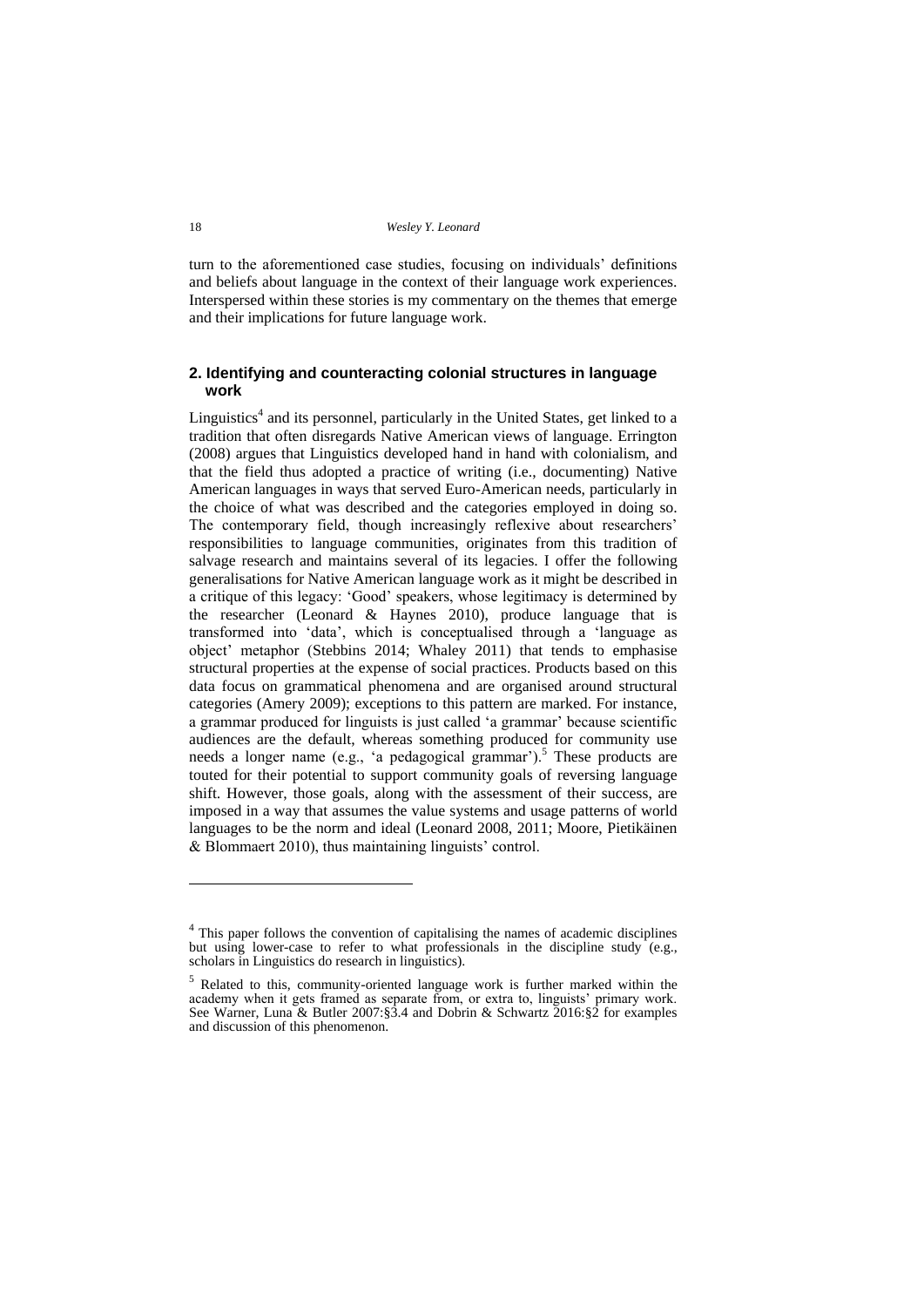turn to the aforementioned case studies, focusing on individuals' definitions and beliefs about language in the context of their language work experiences. Interspersed within these stories is my commentary on the themes that emerge and their implications for future language work.

## **2. Identifying and counteracting colonial structures in language work**

Linguistics<sup>4</sup> and its personnel, particularly in the United States, get linked to a tradition that often disregards Native American views of language. Errington (2008) argues that Linguistics developed hand in hand with colonialism, and that the field thus adopted a practice of writing (i.e., documenting) Native American languages in ways that served Euro-American needs, particularly in the choice of what was described and the categories employed in doing so. The contemporary field, though increasingly reflexive about researchers' responsibilities to language communities, originates from this tradition of salvage research and maintains several of its legacies. I offer the following generalisations for Native American language work as it might be described in a critique of this legacy: 'Good' speakers, whose legitimacy is determined by the researcher (Leonard & Haynes 2010), produce language that is transformed into 'data', which is conceptualised through a 'language as object' metaphor (Stebbins 2014; Whaley 2011) that tends to emphasise structural properties at the expense of social practices. Products based on this data focus on grammatical phenomena and are organised around structural categories (Amery 2009); exceptions to this pattern are marked. For instance, a grammar produced for linguists is just called 'a grammar' because scientific audiences are the default, whereas something produced for community use needs a longer name (e.g., 'a pedagogical grammar').<sup>5</sup> These products are touted for their potential to support community goals of reversing language shift. However, those goals, along with the assessment of their success, are imposed in a way that assumes the value systems and usage patterns of world languages to be the norm and ideal (Leonard 2008, 2011; Moore, Pietikäinen & Blommaert 2010), thus maintaining linguists' control.

<sup>&</sup>lt;sup>4</sup> This paper follows the convention of capitalising the names of academic disciplines but using lower-case to refer to what professionals in the discipline study (e.g., scholars in Linguistics do research in linguistics).

<sup>5</sup> Related to this, community-oriented language work is further marked within the academy when it gets framed as separate from, or extra to, linguists' primary work. See Warner, Luna & Butler 2007:§3.4 and Dobrin & Schwartz 2016:§2 for examples and discussion of this phenomenon.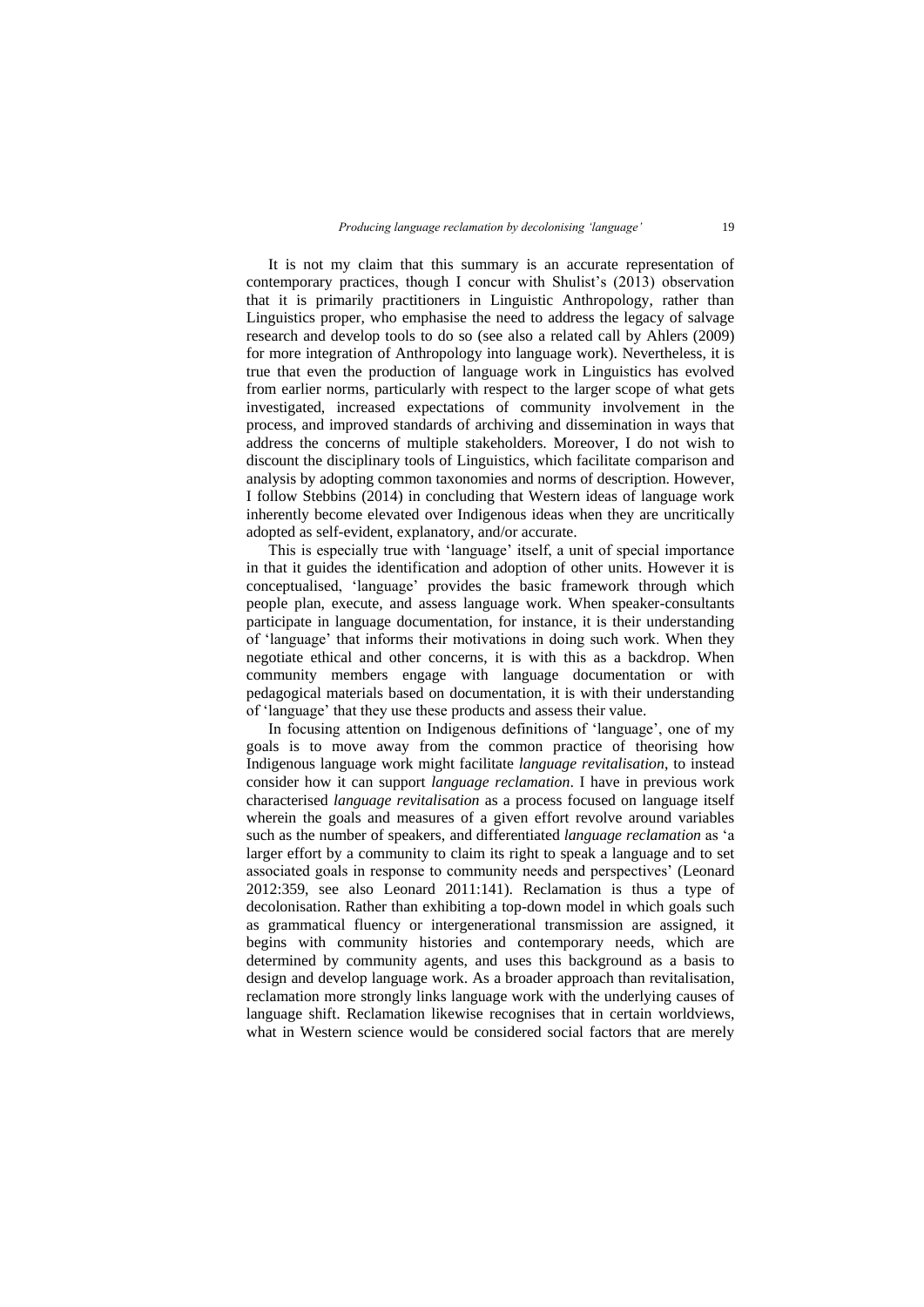It is not my claim that this summary is an accurate representation of contemporary practices, though I concur with Shulist's (2013) observation that it is primarily practitioners in Linguistic Anthropology, rather than Linguistics proper, who emphasise the need to address the legacy of salvage research and develop tools to do so (see also a related call by Ahlers (2009) for more integration of Anthropology into language work). Nevertheless, it is true that even the production of language work in Linguistics has evolved from earlier norms, particularly with respect to the larger scope of what gets investigated, increased expectations of community involvement in the process, and improved standards of archiving and dissemination in ways that address the concerns of multiple stakeholders. Moreover, I do not wish to discount the disciplinary tools of Linguistics, which facilitate comparison and analysis by adopting common taxonomies and norms of description. However, I follow Stebbins (2014) in concluding that Western ideas of language work inherently become elevated over Indigenous ideas when they are uncritically adopted as self-evident, explanatory, and/or accurate.

This is especially true with 'language' itself, a unit of special importance in that it guides the identification and adoption of other units. However it is conceptualised, 'language' provides the basic framework through which people plan, execute, and assess language work. When speaker-consultants participate in language documentation, for instance, it is their understanding of 'language' that informs their motivations in doing such work. When they negotiate ethical and other concerns, it is with this as a backdrop. When community members engage with language documentation or with pedagogical materials based on documentation, it is with their understanding of 'language' that they use these products and assess their value.

In focusing attention on Indigenous definitions of 'language', one of my goals is to move away from the common practice of theorising how Indigenous language work might facilitate *language revitalisation*, to instead consider how it can support *language reclamation*. I have in previous work characterised *language revitalisation* as a process focused on language itself wherein the goals and measures of a given effort revolve around variables such as the number of speakers, and differentiated *language reclamation* as 'a larger effort by a community to claim its right to speak a language and to set associated goals in response to community needs and perspectives' (Leonard 2012:359, see also Leonard 2011:141). Reclamation is thus a type of decolonisation. Rather than exhibiting a top-down model in which goals such as grammatical fluency or intergenerational transmission are assigned, it begins with community histories and contemporary needs, which are determined by community agents, and uses this background as a basis to design and develop language work. As a broader approach than revitalisation, reclamation more strongly links language work with the underlying causes of language shift. Reclamation likewise recognises that in certain worldviews, what in Western science would be considered social factors that are merely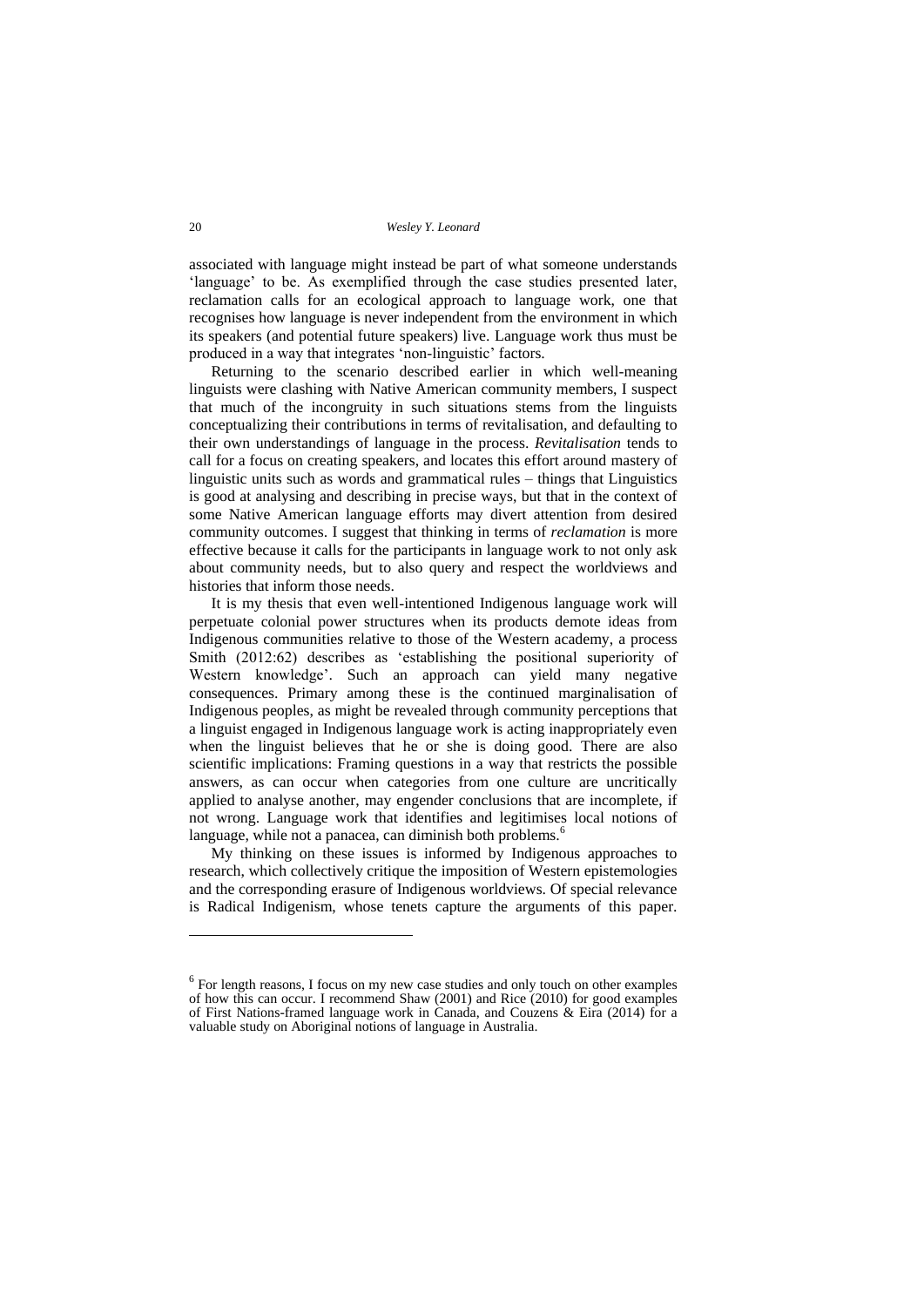associated with language might instead be part of what someone understands 'language' to be. As exemplified through the case studies presented later, reclamation calls for an ecological approach to language work, one that recognises how language is never independent from the environment in which its speakers (and potential future speakers) live. Language work thus must be produced in a way that integrates 'non-linguistic' factors.

Returning to the scenario described earlier in which well-meaning linguists were clashing with Native American community members, I suspect that much of the incongruity in such situations stems from the linguists conceptualizing their contributions in terms of revitalisation, and defaulting to their own understandings of language in the process. *Revitalisation* tends to call for a focus on creating speakers, and locates this effort around mastery of linguistic units such as words and grammatical rules – things that Linguistics is good at analysing and describing in precise ways, but that in the context of some Native American language efforts may divert attention from desired community outcomes. I suggest that thinking in terms of *reclamation* is more effective because it calls for the participants in language work to not only ask about community needs, but to also query and respect the worldviews and histories that inform those needs.

It is my thesis that even well-intentioned Indigenous language work will perpetuate colonial power structures when its products demote ideas from Indigenous communities relative to those of the Western academy, a process Smith (2012:62) describes as 'establishing the positional superiority of Western knowledge'. Such an approach can yield many negative consequences. Primary among these is the continued marginalisation of Indigenous peoples, as might be revealed through community perceptions that a linguist engaged in Indigenous language work is acting inappropriately even when the linguist believes that he or she is doing good. There are also scientific implications: Framing questions in a way that restricts the possible answers, as can occur when categories from one culture are uncritically applied to analyse another, may engender conclusions that are incomplete, if not wrong. Language work that identifies and legitimises local notions of language, while not a panacea, can diminish both problems.<sup>6</sup>

My thinking on these issues is informed by Indigenous approaches to research, which collectively critique the imposition of Western epistemologies and the corresponding erasure of Indigenous worldviews. Of special relevance is Radical Indigenism, whose tenets capture the arguments of this paper.

 $6$  For length reasons, I focus on my new case studies and only touch on other examples of how this can occur. I recommend Shaw (2001) and Rice (2010) for good examples of First Nations-framed language work in Canada, and Couzens & Eira (2014) for a valuable study on Aboriginal notions of language in Australia.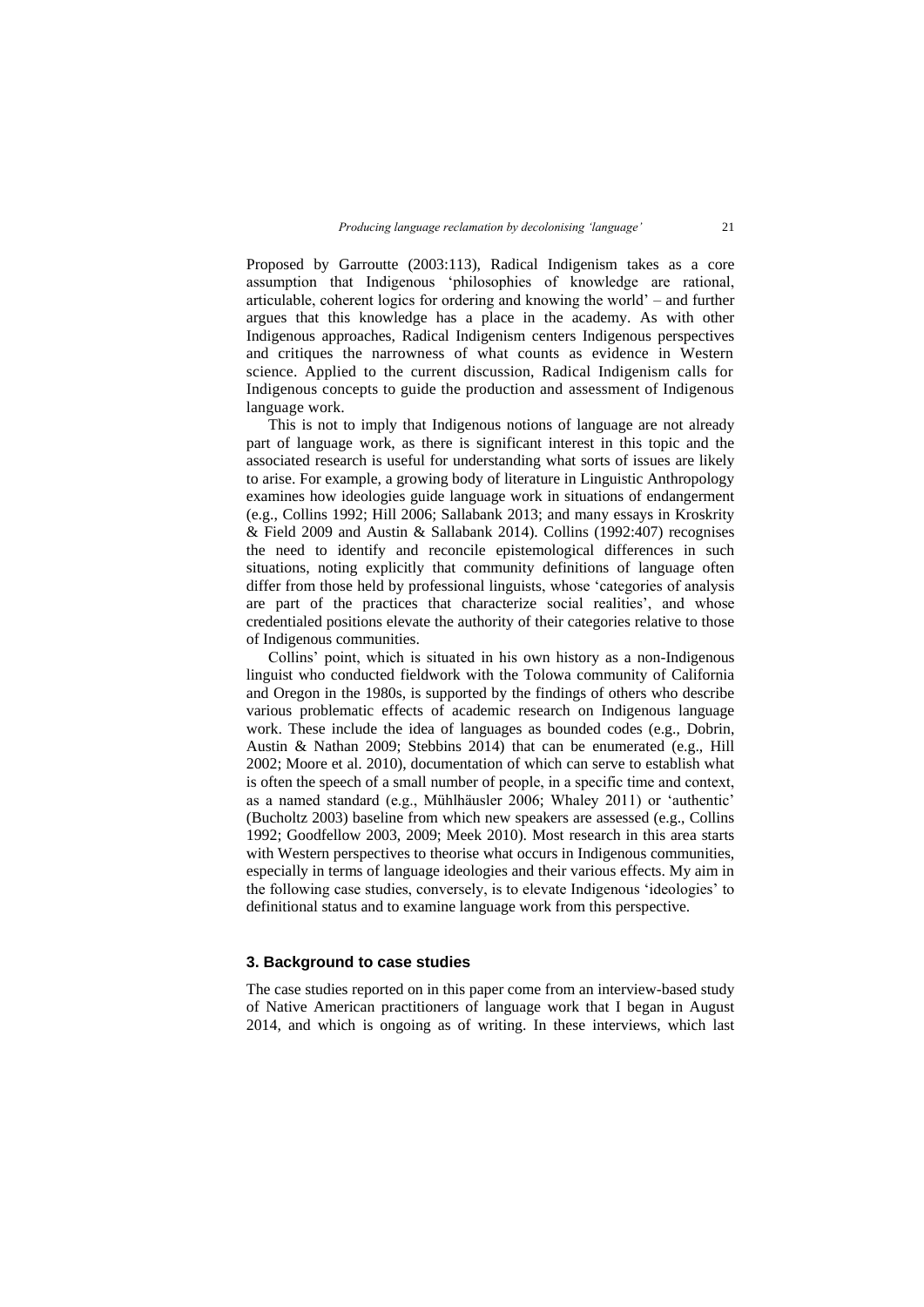Proposed by Garroutte (2003:113), Radical Indigenism takes as a core assumption that Indigenous 'philosophies of knowledge are rational, articulable, coherent logics for ordering and knowing the world' – and further argues that this knowledge has a place in the academy. As with other Indigenous approaches, Radical Indigenism centers Indigenous perspectives and critiques the narrowness of what counts as evidence in Western science. Applied to the current discussion, Radical Indigenism calls for Indigenous concepts to guide the production and assessment of Indigenous language work.

This is not to imply that Indigenous notions of language are not already part of language work, as there is significant interest in this topic and the associated research is useful for understanding what sorts of issues are likely to arise. For example, a growing body of literature in Linguistic Anthropology examines how ideologies guide language work in situations of endangerment (e.g., Collins 1992; Hill 2006; Sallabank 2013; and many essays in Kroskrity & Field 2009 and Austin & Sallabank 2014). Collins (1992:407) recognises the need to identify and reconcile epistemological differences in such situations, noting explicitly that community definitions of language often differ from those held by professional linguists, whose 'categories of analysis are part of the practices that characterize social realities', and whose credentialed positions elevate the authority of their categories relative to those of Indigenous communities.

Collins' point, which is situated in his own history as a non-Indigenous linguist who conducted fieldwork with the Tolowa community of California and Oregon in the 1980s, is supported by the findings of others who describe various problematic effects of academic research on Indigenous language work. These include the idea of languages as bounded codes (e.g., Dobrin, Austin & Nathan 2009; Stebbins 2014) that can be enumerated (e.g., Hill 2002; Moore et al. 2010), documentation of which can serve to establish what is often the speech of a small number of people, in a specific time and context, as a named standard (e.g., Mühlhäusler 2006; Whaley 2011) or 'authentic' (Bucholtz 2003) baseline from which new speakers are assessed (e.g., Collins 1992; Goodfellow 2003, 2009; Meek 2010). Most research in this area starts with Western perspectives to theorise what occurs in Indigenous communities, especially in terms of language ideologies and their various effects. My aim in the following case studies, conversely, is to elevate Indigenous 'ideologies' to definitional status and to examine language work from this perspective.

#### **3. Background to case studies**

The case studies reported on in this paper come from an interview-based study of Native American practitioners of language work that I began in August 2014, and which is ongoing as of writing. In these interviews, which last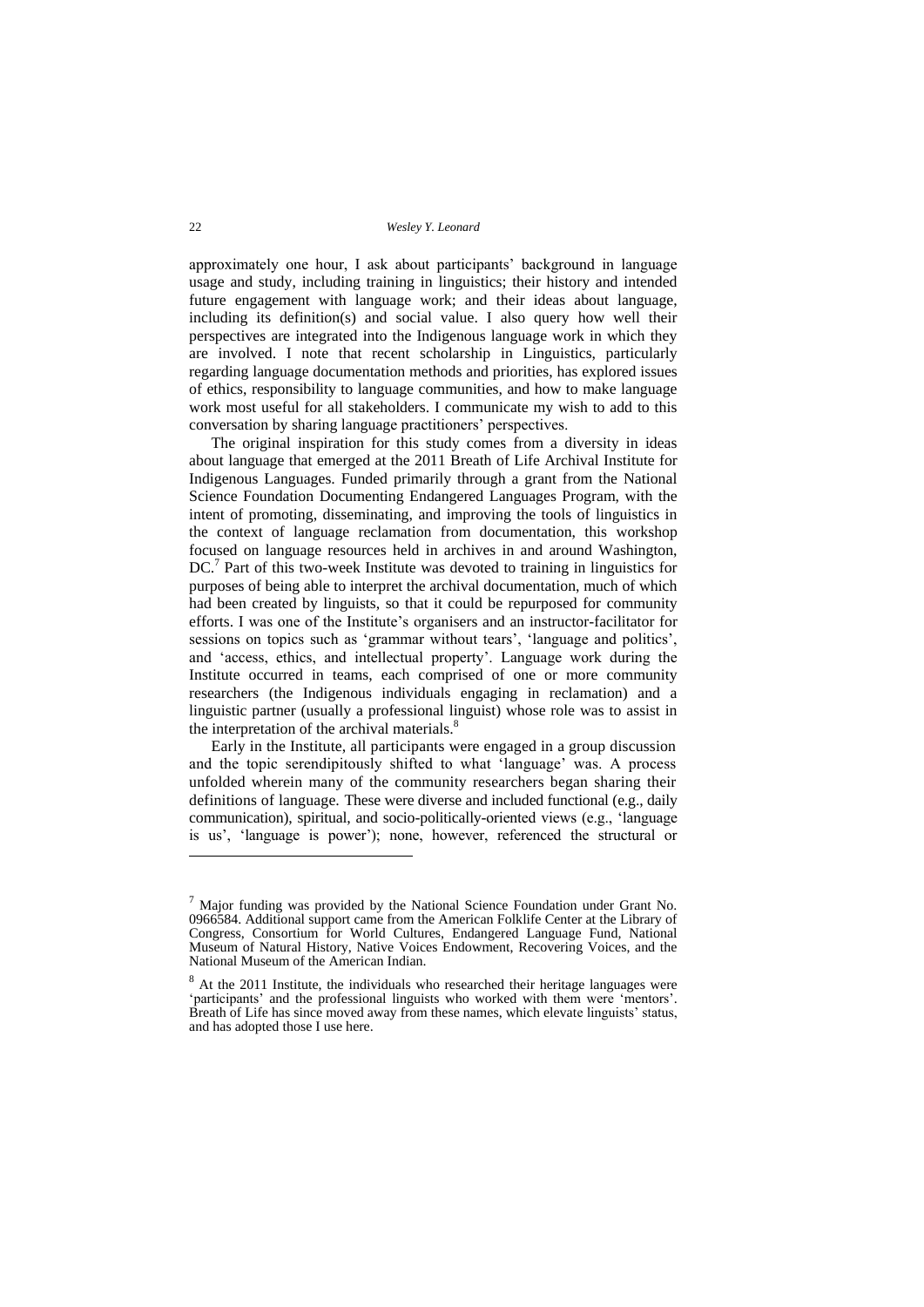approximately one hour, I ask about participants' background in language usage and study, including training in linguistics; their history and intended future engagement with language work; and their ideas about language, including its definition(s) and social value. I also query how well their perspectives are integrated into the Indigenous language work in which they are involved. I note that recent scholarship in Linguistics, particularly regarding language documentation methods and priorities, has explored issues of ethics, responsibility to language communities, and how to make language work most useful for all stakeholders. I communicate my wish to add to this conversation by sharing language practitioners' perspectives.

The original inspiration for this study comes from a diversity in ideas about language that emerged at the 2011 Breath of Life Archival Institute for Indigenous Languages. Funded primarily through a grant from the National Science Foundation Documenting Endangered Languages Program, with the intent of promoting, disseminating, and improving the tools of linguistics in the context of language reclamation from documentation, this workshop focused on language resources held in archives in and around Washington, DC.<sup>7</sup> Part of this two-week Institute was devoted to training in linguistics for purposes of being able to interpret the archival documentation, much of which had been created by linguists, so that it could be repurposed for community efforts. I was one of the Institute's organisers and an instructor-facilitator for sessions on topics such as 'grammar without tears', 'language and politics', and 'access, ethics, and intellectual property'. Language work during the Institute occurred in teams, each comprised of one or more community researchers (the Indigenous individuals engaging in reclamation) and a linguistic partner (usually a professional linguist) whose role was to assist in the interpretation of the archival materials.<sup>8</sup>

Early in the Institute, all participants were engaged in a group discussion and the topic serendipitously shifted to what 'language' was. A process unfolded wherein many of the community researchers began sharing their definitions of language. These were diverse and included functional (e.g., daily communication), spiritual, and socio-politically-oriented views (e.g., 'language is us', 'language is power'); none, however, referenced the structural or

 $<sup>7</sup>$  Major funding was provided by the National Science Foundation under Grant No.</sup> 0966584. Additional support came from the American Folklife Center at the Library of Congress, Consortium for World Cultures, Endangered Language Fund, National Museum of Natural History, Native Voices Endowment, Recovering Voices, and the National Museum of the American Indian.

<sup>&</sup>lt;sup>8</sup> At the 2011 Institute, the individuals who researched their heritage languages were 'participants' and the professional linguists who worked with them were 'mentors'.  $\overrightarrow{B}$ reath of Life has since moved away from these names, which elevate linguists' status, and has adopted those I use here.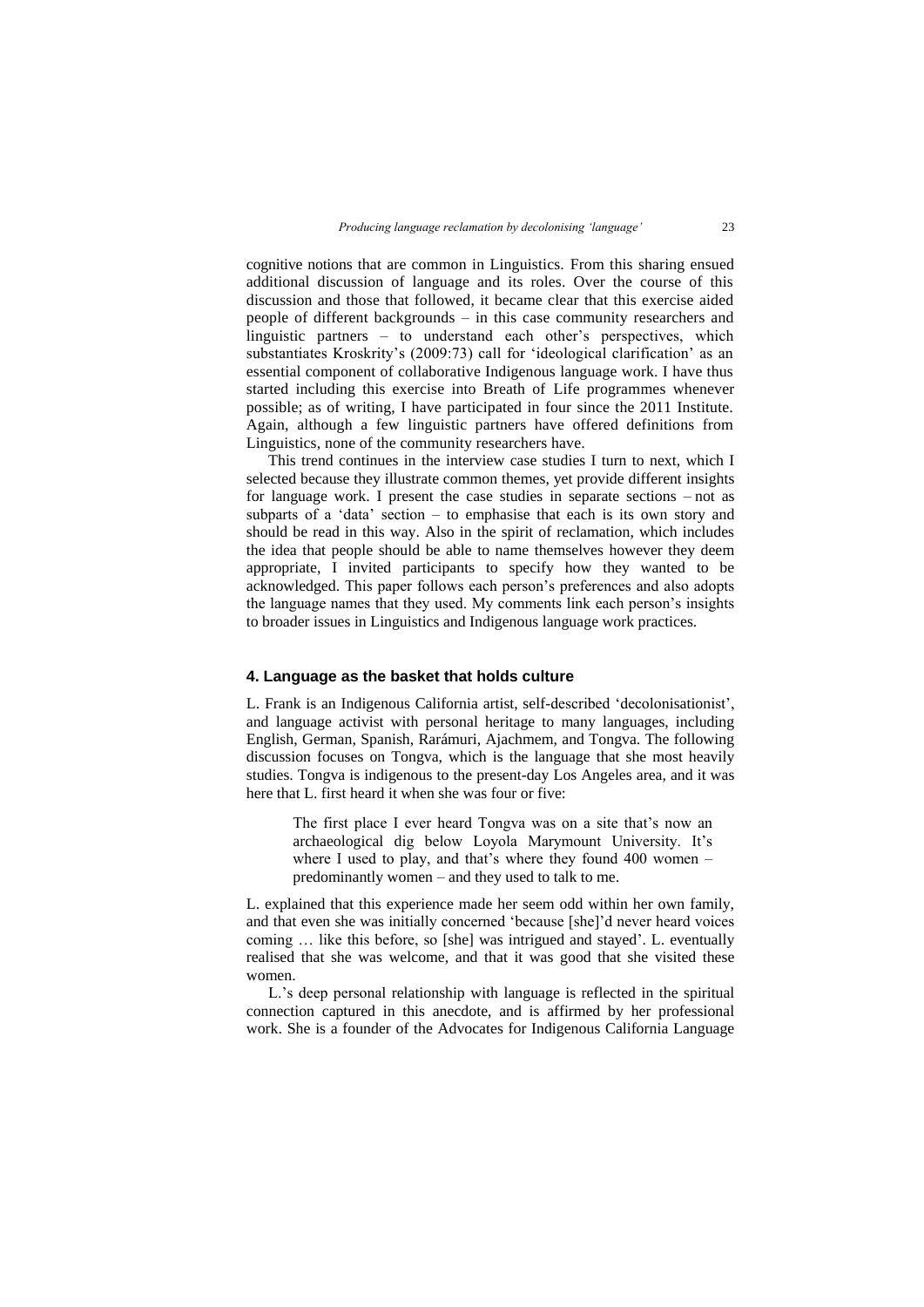cognitive notions that are common in Linguistics. From this sharing ensued additional discussion of language and its roles. Over the course of this discussion and those that followed, it became clear that this exercise aided people of different backgrounds – in this case community researchers and linguistic partners – to understand each other's perspectives, which substantiates Kroskrity's (2009:73) call for 'ideological clarification' as an essential component of collaborative Indigenous language work. I have thus started including this exercise into Breath of Life programmes whenever possible; as of writing, I have participated in four since the 2011 Institute. Again, although a few linguistic partners have offered definitions from Linguistics, none of the community researchers have.

This trend continues in the interview case studies I turn to next, which I selected because they illustrate common themes, yet provide different insights for language work. I present the case studies in separate sections – not as subparts of a 'data' section  $-$  to emphasise that each is its own story and should be read in this way. Also in the spirit of reclamation, which includes the idea that people should be able to name themselves however they deem appropriate, I invited participants to specify how they wanted to be acknowledged. This paper follows each person's preferences and also adopts the language names that they used. My comments link each person's insights to broader issues in Linguistics and Indigenous language work practices.

### **4. Language as the basket that holds culture**

L. Frank is an Indigenous California artist, self-described 'decolonisationist', and language activist with personal heritage to many languages, including English, German, Spanish, Rarámuri, Ajachmem, and Tongva. The following discussion focuses on Tongva, which is the language that she most heavily studies. Tongva is indigenous to the present-day Los Angeles area, and it was here that L. first heard it when she was four or five:

The first place I ever heard Tongva was on a site that's now an archaeological dig below Loyola Marymount University. It's where I used to play, and that's where they found 400 women – predominantly women – and they used to talk to me.

L. explained that this experience made her seem odd within her own family, and that even she was initially concerned 'because [she]'d never heard voices coming … like this before, so [she] was intrigued and stayed'. L. eventually realised that she was welcome, and that it was good that she visited these women.

L.'s deep personal relationship with language is reflected in the spiritual connection captured in this anecdote, and is affirmed by her professional work. She is a founder of the Advocates for Indigenous California Language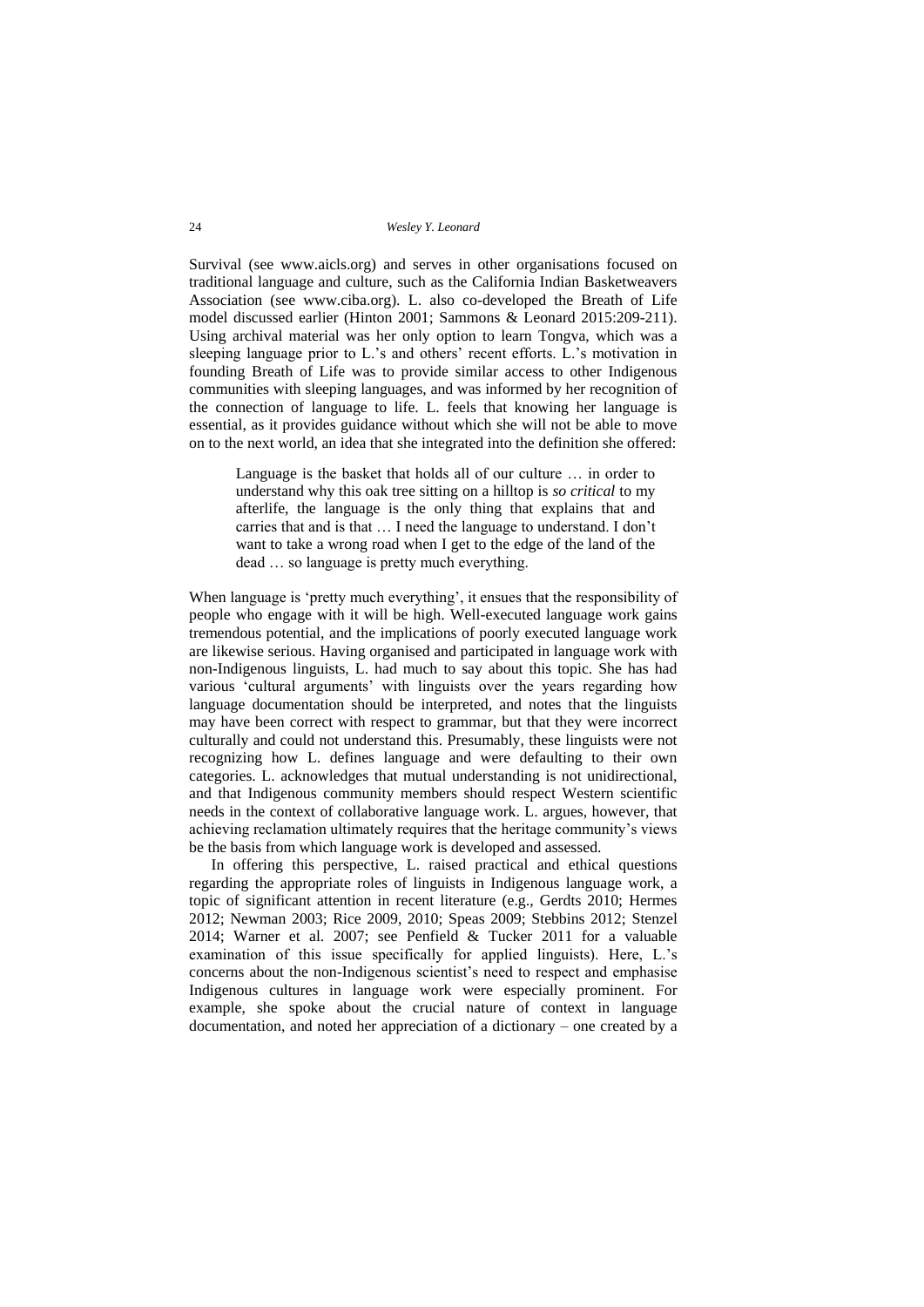Survival (see www.aicls.org) and serves in other organisations focused on traditional language and culture, such as the California Indian Basketweavers Association (see www.ciba.org). L. also co-developed the Breath of Life model discussed earlier (Hinton 2001; Sammons & Leonard 2015:209-211). Using archival material was her only option to learn Tongva, which was a sleeping language prior to L.'s and others' recent efforts. L.'s motivation in founding Breath of Life was to provide similar access to other Indigenous communities with sleeping languages, and was informed by her recognition of the connection of language to life. L. feels that knowing her language is essential, as it provides guidance without which she will not be able to move on to the next world, an idea that she integrated into the definition she offered:

Language is the basket that holds all of our culture … in order to understand why this oak tree sitting on a hilltop is *so critical* to my afterlife, the language is the only thing that explains that and carries that and is that … I need the language to understand. I don't want to take a wrong road when I get to the edge of the land of the dead … so language is pretty much everything.

When language is 'pretty much everything', it ensues that the responsibility of people who engage with it will be high. Well-executed language work gains tremendous potential, and the implications of poorly executed language work are likewise serious. Having organised and participated in language work with non-Indigenous linguists, L. had much to say about this topic. She has had various 'cultural arguments' with linguists over the years regarding how language documentation should be interpreted, and notes that the linguists may have been correct with respect to grammar, but that they were incorrect culturally and could not understand this. Presumably, these linguists were not recognizing how L. defines language and were defaulting to their own categories. L. acknowledges that mutual understanding is not unidirectional, and that Indigenous community members should respect Western scientific needs in the context of collaborative language work. L. argues, however, that achieving reclamation ultimately requires that the heritage community's views be the basis from which language work is developed and assessed.

In offering this perspective, L. raised practical and ethical questions regarding the appropriate roles of linguists in Indigenous language work, a topic of significant attention in recent literature (e.g., Gerdts 2010; Hermes 2012; Newman 2003; Rice 2009, 2010; Speas 2009; Stebbins 2012; Stenzel 2014; Warner et al. 2007; see Penfield & Tucker 2011 for a valuable examination of this issue specifically for applied linguists). Here, L.'s concerns about the non-Indigenous scientist's need to respect and emphasise Indigenous cultures in language work were especially prominent. For example, she spoke about the crucial nature of context in language documentation, and noted her appreciation of a dictionary – one created by a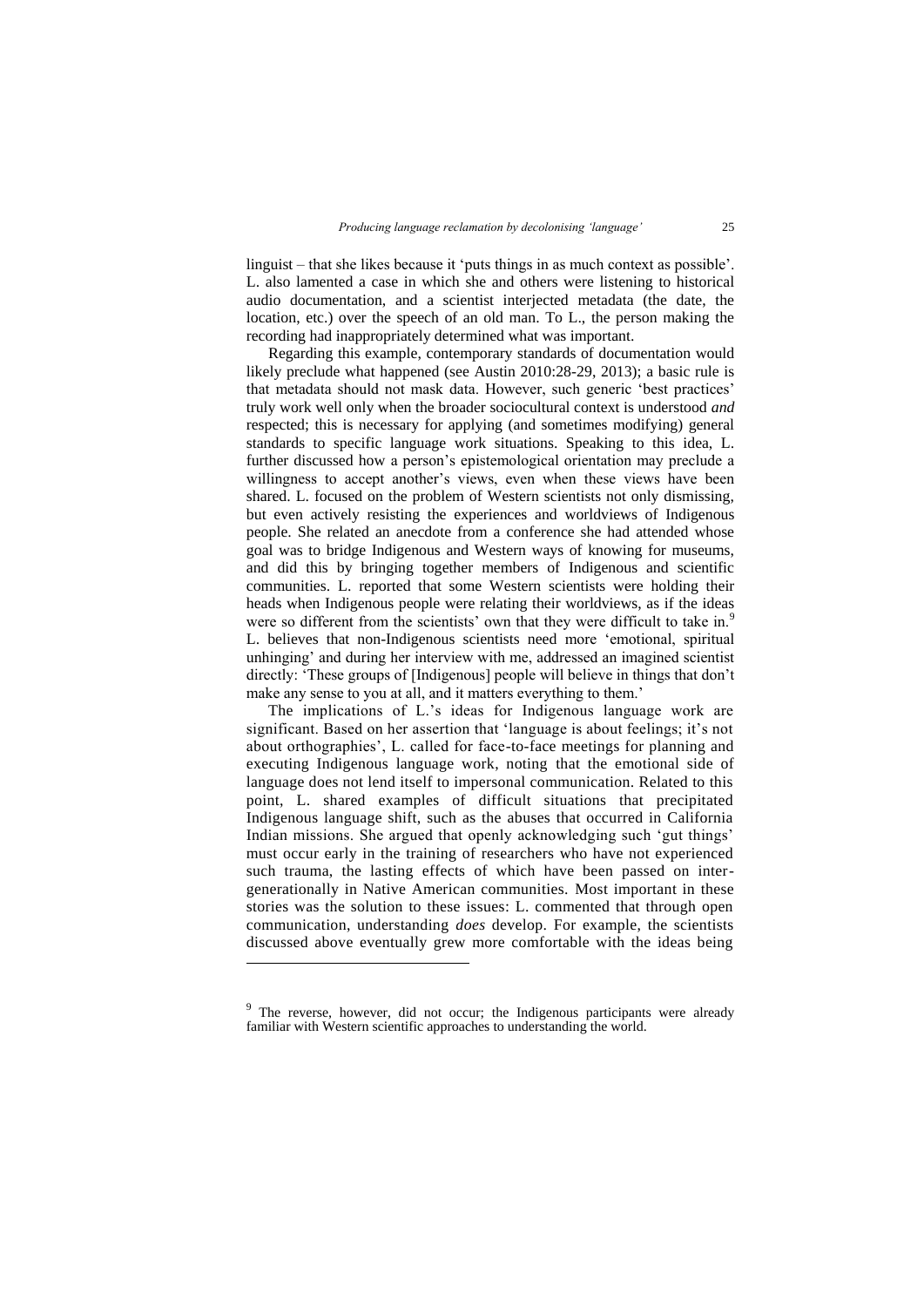linguist – that she likes because it 'puts things in as much context as possible'. L. also lamented a case in which she and others were listening to historical audio documentation, and a scientist interjected metadata (the date, the location, etc.) over the speech of an old man. To L., the person making the recording had inappropriately determined what was important.

Regarding this example, contemporary standards of documentation would likely preclude what happened (see Austin 2010:28-29, 2013); a basic rule is that metadata should not mask data. However, such generic 'best practices' truly work well only when the broader sociocultural context is understood *and* respected; this is necessary for applying (and sometimes modifying) general standards to specific language work situations. Speaking to this idea, L. further discussed how a person's epistemological orientation may preclude a willingness to accept another's views, even when these views have been shared. L. focused on the problem of Western scientists not only dismissing, but even actively resisting the experiences and worldviews of Indigenous people. She related an anecdote from a conference she had attended whose goal was to bridge Indigenous and Western ways of knowing for museums, and did this by bringing together members of Indigenous and scientific communities. L. reported that some Western scientists were holding their heads when Indigenous people were relating their worldviews, as if the ideas were so different from the scientists' own that they were difficult to take in.<sup>9</sup> L. believes that non-Indigenous scientists need more 'emotional, spiritual unhinging' and during her interview with me, addressed an imagined scientist directly: 'These groups of [Indigenous] people will believe in things that don't make any sense to you at all, and it matters everything to them.'

The implications of L.'s ideas for Indigenous language work are significant. Based on her assertion that 'language is about feelings; it's not about orthographies', L. called for face-to-face meetings for planning and executing Indigenous language work, noting that the emotional side of language does not lend itself to impersonal communication. Related to this point, L. shared examples of difficult situations that precipitated Indigenous language shift, such as the abuses that occurred in California Indian missions. She argued that openly acknowledging such 'gut things' must occur early in the training of researchers who have not experienced such trauma, the lasting effects of which have been passed on intergenerationally in Native American communities. Most important in these stories was the solution to these issues: L. commented that through open communication, understanding *does* develop. For example, the scientists discussed above eventually grew more comfortable with the ideas being

l

<sup>&</sup>lt;sup>9</sup> The reverse, however, did not occur; the Indigenous participants were already familiar with Western scientific approaches to understanding the world.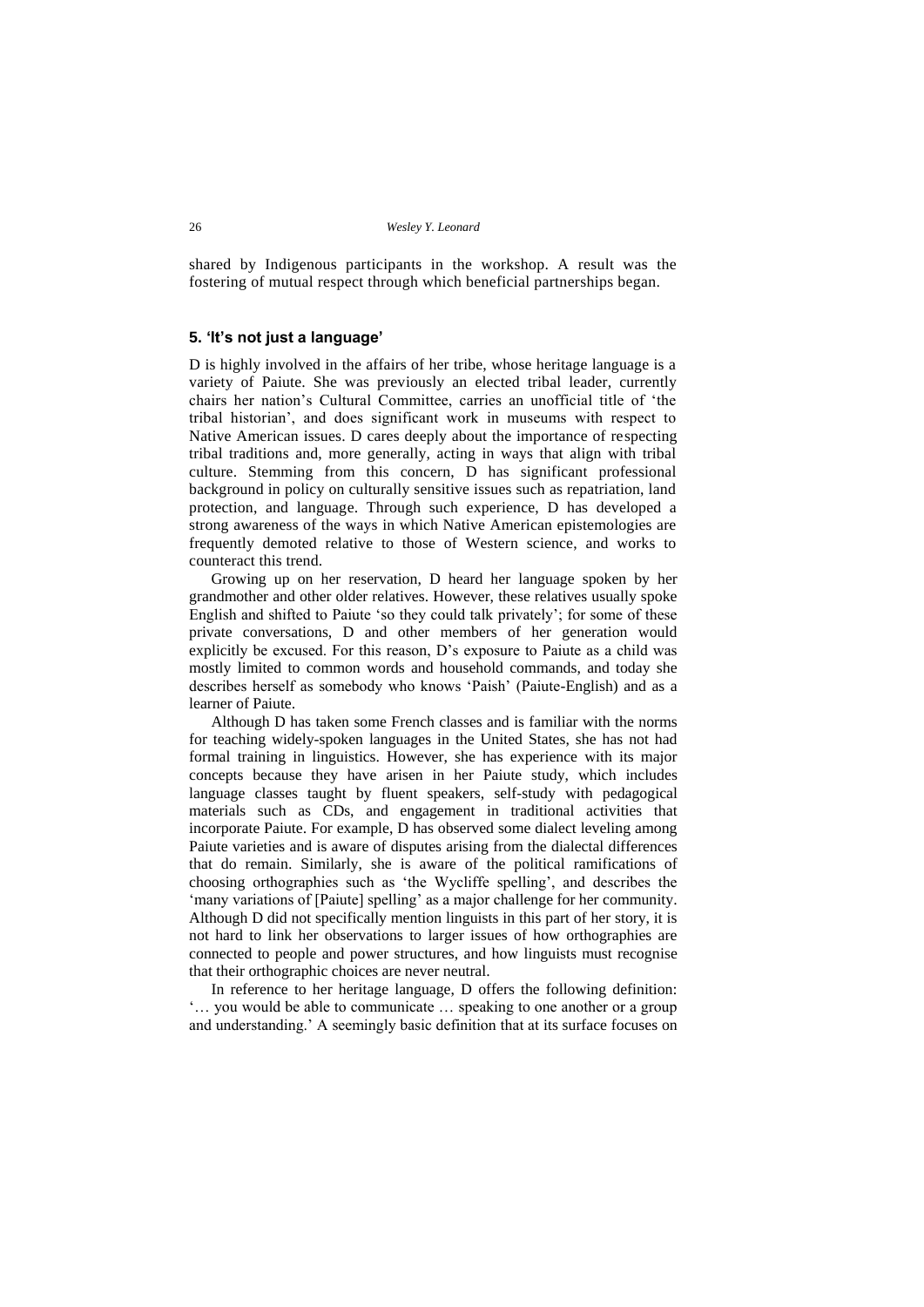shared by Indigenous participants in the workshop. A result was the fostering of mutual respect through which beneficial partnerships began.

## **5. 'It's not just a language'**

D is highly involved in the affairs of her tribe, whose heritage language is a variety of Paiute. She was previously an elected tribal leader, currently chairs her nation's Cultural Committee, carries an unofficial title of 'the tribal historian', and does significant work in museums with respect to Native American issues. D cares deeply about the importance of respecting tribal traditions and, more generally, acting in ways that align with tribal culture. Stemming from this concern, D has significant professional background in policy on culturally sensitive issues such as repatriation, land protection, and language. Through such experience, D has developed a strong awareness of the ways in which Native American epistemologies are frequently demoted relative to those of Western science, and works to counteract this trend.

Growing up on her reservation, D heard her language spoken by her grandmother and other older relatives. However, these relatives usually spoke English and shifted to Paiute 'so they could talk privately'; for some of these private conversations, D and other members of her generation would explicitly be excused. For this reason, D's exposure to Paiute as a child was mostly limited to common words and household commands, and today she describes herself as somebody who knows 'Paish' (Paiute-English) and as a learner of Paiute.

Although D has taken some French classes and is familiar with the norms for teaching widely-spoken languages in the United States, she has not had formal training in linguistics. However, she has experience with its major concepts because they have arisen in her Paiute study, which includes language classes taught by fluent speakers, self-study with pedagogical materials such as CDs, and engagement in traditional activities that incorporate Paiute. For example, D has observed some dialect leveling among Paiute varieties and is aware of disputes arising from the dialectal differences that do remain. Similarly, she is aware of the political ramifications of choosing orthographies such as 'the Wycliffe spelling', and describes the 'many variations of [Paiute] spelling' as a major challenge for her community. Although D did not specifically mention linguists in this part of her story, it is not hard to link her observations to larger issues of how orthographies are connected to people and power structures, and how linguists must recognise that their orthographic choices are never neutral.

In reference to her heritage language, D offers the following definition: '… you would be able to communicate … speaking to one another or a group and understanding.' A seemingly basic definition that at its surface focuses on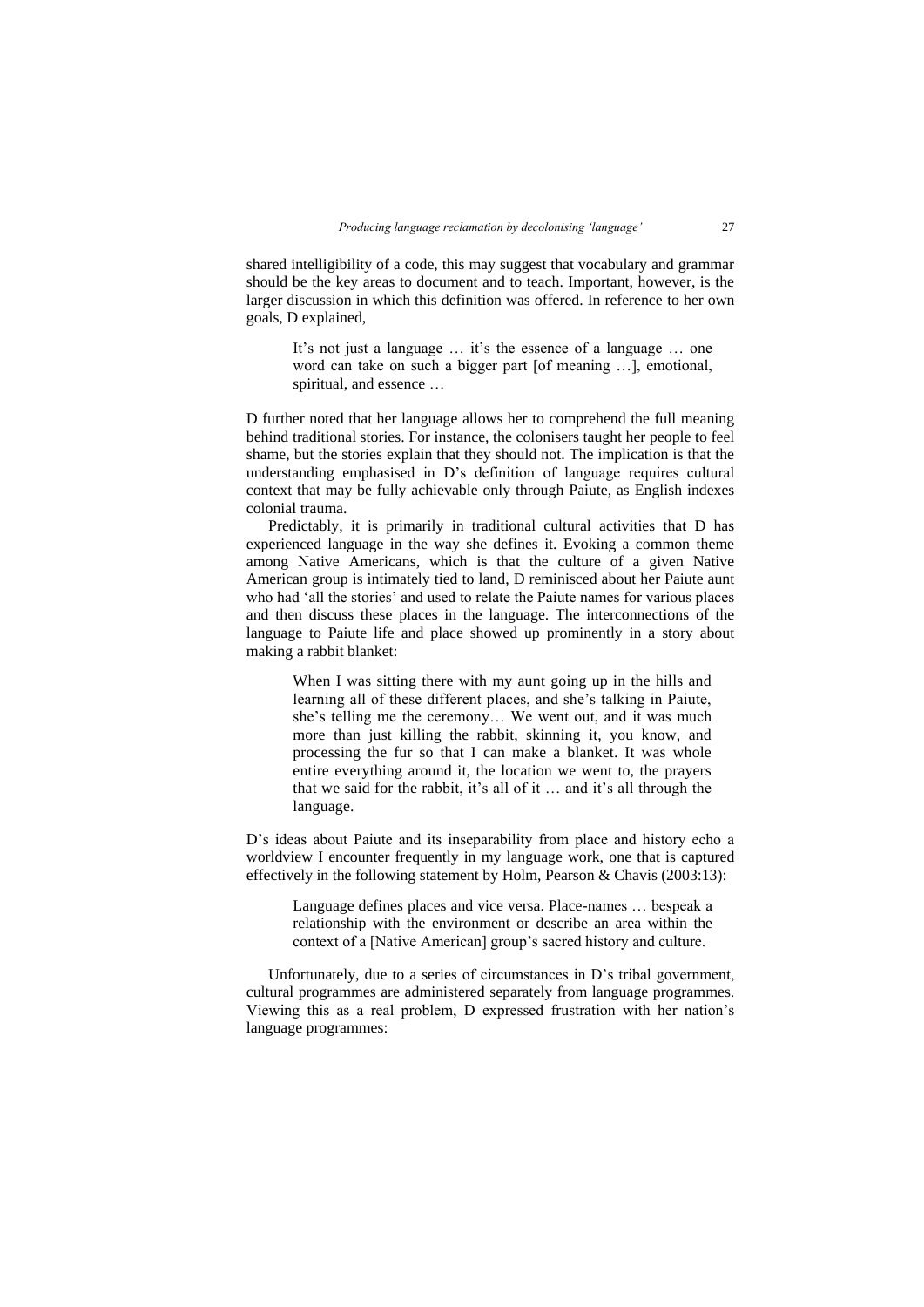shared intelligibility of a code, this may suggest that vocabulary and grammar should be the key areas to document and to teach. Important, however, is the larger discussion in which this definition was offered. In reference to her own goals, D explained,

It's not just a language … it's the essence of a language … one word can take on such a bigger part [of meaning …], emotional, spiritual, and essence …

D further noted that her language allows her to comprehend the full meaning behind traditional stories. For instance, the colonisers taught her people to feel shame, but the stories explain that they should not. The implication is that the understanding emphasised in D's definition of language requires cultural context that may be fully achievable only through Paiute, as English indexes colonial trauma.

Predictably, it is primarily in traditional cultural activities that D has experienced language in the way she defines it. Evoking a common theme among Native Americans, which is that the culture of a given Native American group is intimately tied to land, D reminisced about her Paiute aunt who had 'all the stories' and used to relate the Paiute names for various places and then discuss these places in the language. The interconnections of the language to Paiute life and place showed up prominently in a story about making a rabbit blanket:

When I was sitting there with my aunt going up in the hills and learning all of these different places, and she's talking in Paiute, she's telling me the ceremony… We went out, and it was much more than just killing the rabbit, skinning it, you know, and processing the fur so that I can make a blanket. It was whole entire everything around it, the location we went to, the prayers that we said for the rabbit, it's all of it … and it's all through the language.

D's ideas about Paiute and its inseparability from place and history echo a worldview I encounter frequently in my language work, one that is captured effectively in the following statement by Holm, Pearson & Chavis (2003:13):

Language defines places and vice versa. Place-names … bespeak a relationship with the environment or describe an area within the context of a [Native American] group's sacred history and culture.

Unfortunately, due to a series of circumstances in D's tribal government, cultural programmes are administered separately from language programmes. Viewing this as a real problem, D expressed frustration with her nation's language programmes: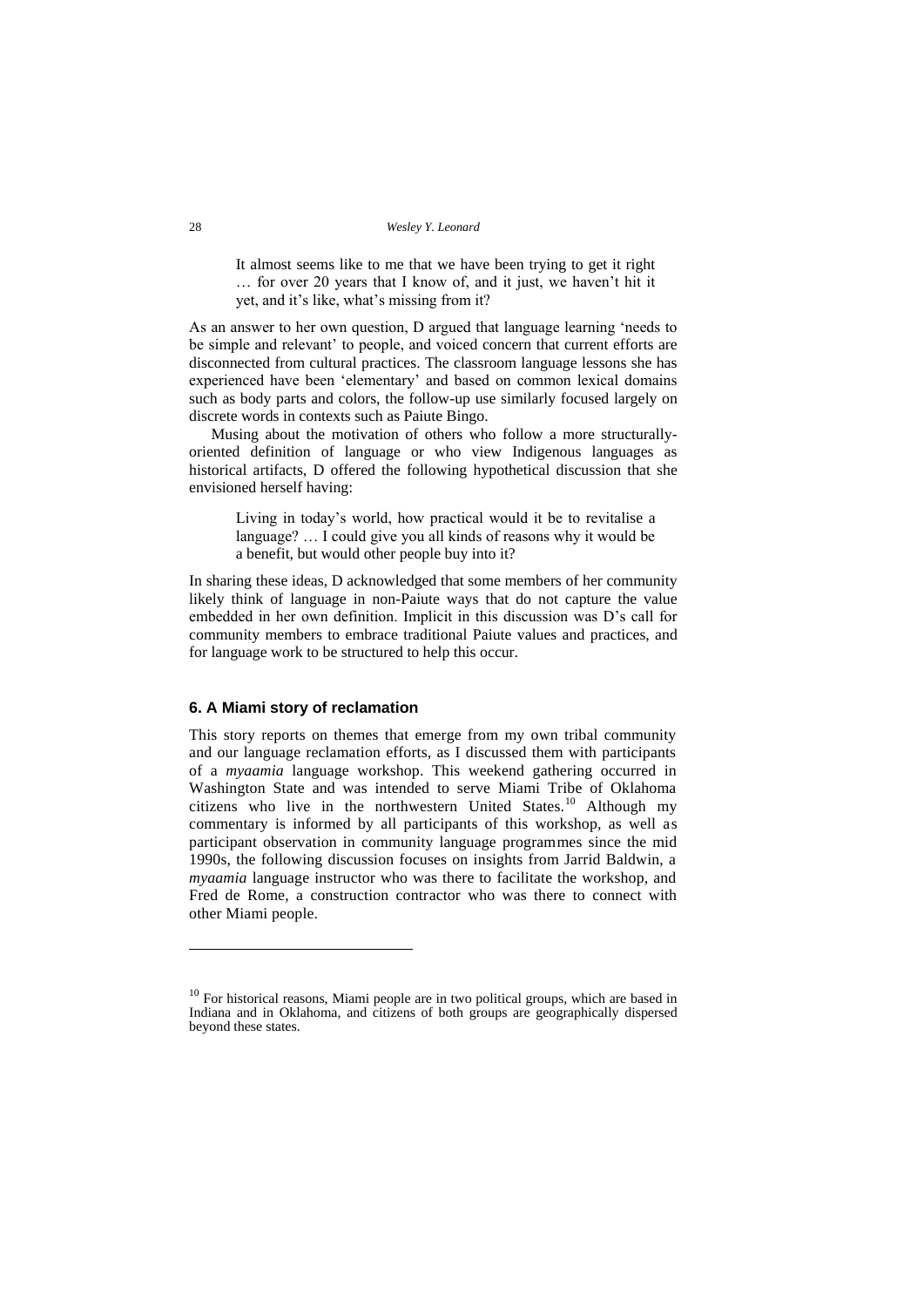It almost seems like to me that we have been trying to get it right … for over 20 years that I know of, and it just, we haven't hit it yet, and it's like, what's missing from it?

As an answer to her own question, D argued that language learning 'needs to be simple and relevant' to people, and voiced concern that current efforts are disconnected from cultural practices. The classroom language lessons she has experienced have been 'elementary' and based on common lexical domains such as body parts and colors, the follow-up use similarly focused largely on discrete words in contexts such as Paiute Bingo.

Musing about the motivation of others who follow a more structurallyoriented definition of language or who view Indigenous languages as historical artifacts, D offered the following hypothetical discussion that she envisioned herself having:

Living in today's world, how practical would it be to revitalise a language? … I could give you all kinds of reasons why it would be a benefit, but would other people buy into it?

In sharing these ideas, D acknowledged that some members of her community likely think of language in non-Paiute ways that do not capture the value embedded in her own definition. Implicit in this discussion was D's call for community members to embrace traditional Paiute values and practices, and for language work to be structured to help this occur.

### **6. A Miami story of reclamation**

This story reports on themes that emerge from my own tribal community and our language reclamation efforts, as I discussed them with participants of a *myaamia* language workshop. This weekend gathering occurred in Washington State and was intended to serve Miami Tribe of Oklahoma citizens who live in the northwestern United States.<sup>10</sup> Although my commentary is informed by all participants of this workshop, as well as participant observation in community language programmes since the mid 1990s, the following discussion focuses on insights from Jarrid Baldwin, a *myaamia* language instructor who was there to facilitate the workshop, and Fred de Rome, a construction contractor who was there to connect with other Miami people.

 $10$  For historical reasons, Miami people are in two political groups, which are based in Indiana and in Oklahoma, and citizens of both groups are geographically dispersed beyond these states.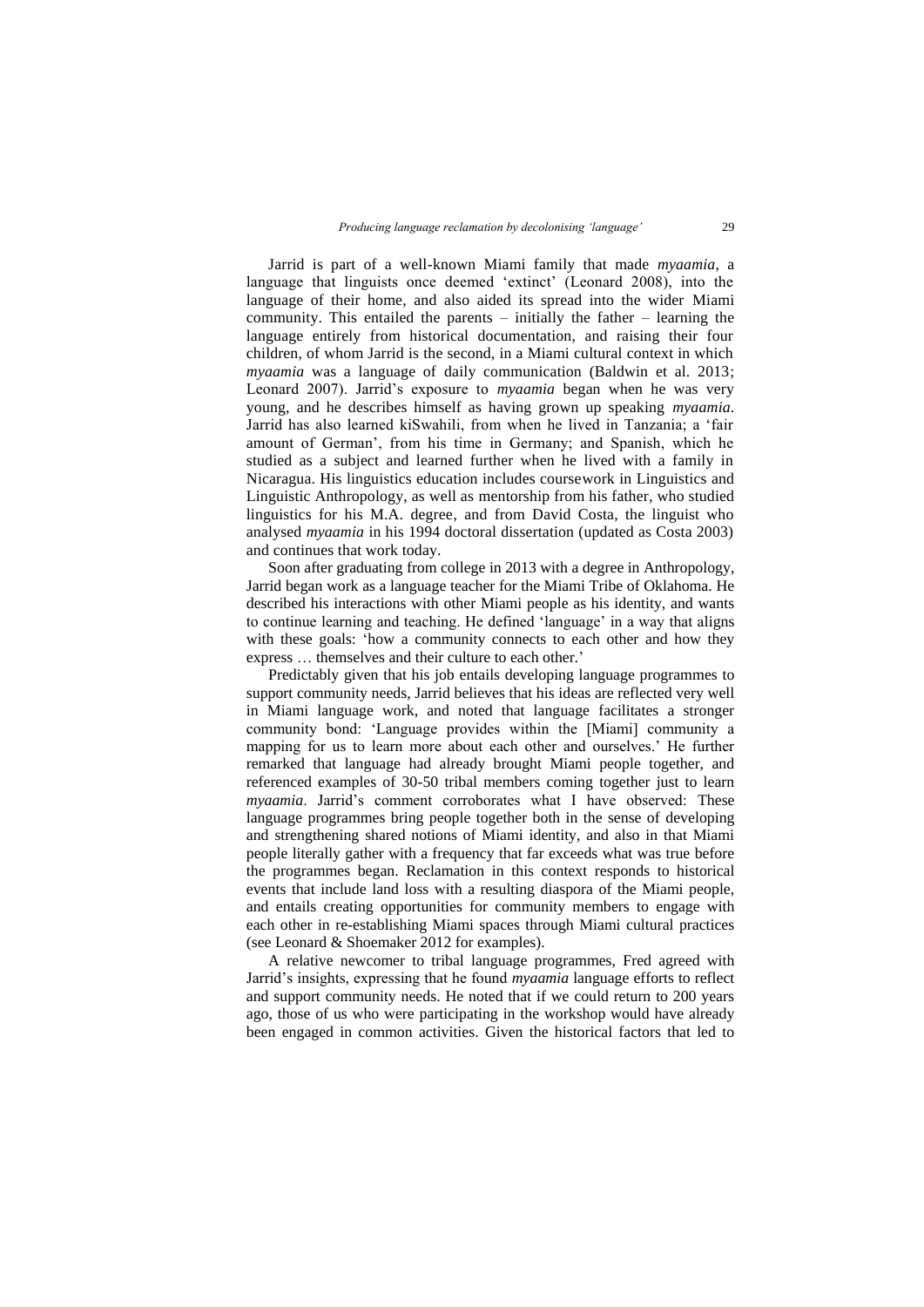Jarrid is part of a well-known Miami family that made *myaamia*, a language that linguists once deemed 'extinct' (Leonard 2008), into the language of their home, and also aided its spread into the wider Miami community. This entailed the parents – initially the father – learning the language entirely from historical documentation, and raising their four children, of whom Jarrid is the second, in a Miami cultural context in which *myaamia* was a language of daily communication (Baldwin et al. 2013; Leonard 2007). Jarrid's exposure to *myaamia* began when he was very young, and he describes himself as having grown up speaking *myaamia*. Jarrid has also learned kiSwahili, from when he lived in Tanzania; a 'fair amount of German', from his time in Germany; and Spanish, which he studied as a subject and learned further when he lived with a family in Nicaragua. His linguistics education includes coursework in Linguistics and Linguistic Anthropology, as well as mentorship from his father, who studied linguistics for his M.A. degree, and from David Costa, the linguist who analysed *myaamia* in his 1994 doctoral dissertation (updated as Costa 2003) and continues that work today.

Soon after graduating from college in 2013 with a degree in Anthropology, Jarrid began work as a language teacher for the Miami Tribe of Oklahoma. He described his interactions with other Miami people as his identity, and wants to continue learning and teaching. He defined 'language' in a way that aligns with these goals: 'how a community connects to each other and how they express … themselves and their culture to each other.'

Predictably given that his job entails developing language programmes to support community needs, Jarrid believes that his ideas are reflected very well in Miami language work, and noted that language facilitates a stronger community bond: 'Language provides within the [Miami] community a mapping for us to learn more about each other and ourselves.' He further remarked that language had already brought Miami people together, and referenced examples of 30-50 tribal members coming together just to learn *myaamia*. Jarrid's comment corroborates what I have observed: These language programmes bring people together both in the sense of developing and strengthening shared notions of Miami identity, and also in that Miami people literally gather with a frequency that far exceeds what was true before the programmes began. Reclamation in this context responds to historical events that include land loss with a resulting diaspora of the Miami people, and entails creating opportunities for community members to engage with each other in re-establishing Miami spaces through Miami cultural practices (see Leonard & Shoemaker 2012 for examples).

A relative newcomer to tribal language programmes, Fred agreed with Jarrid's insights, expressing that he found *myaamia* language efforts to reflect and support community needs. He noted that if we could return to 200 years ago, those of us who were participating in the workshop would have already been engaged in common activities. Given the historical factors that led to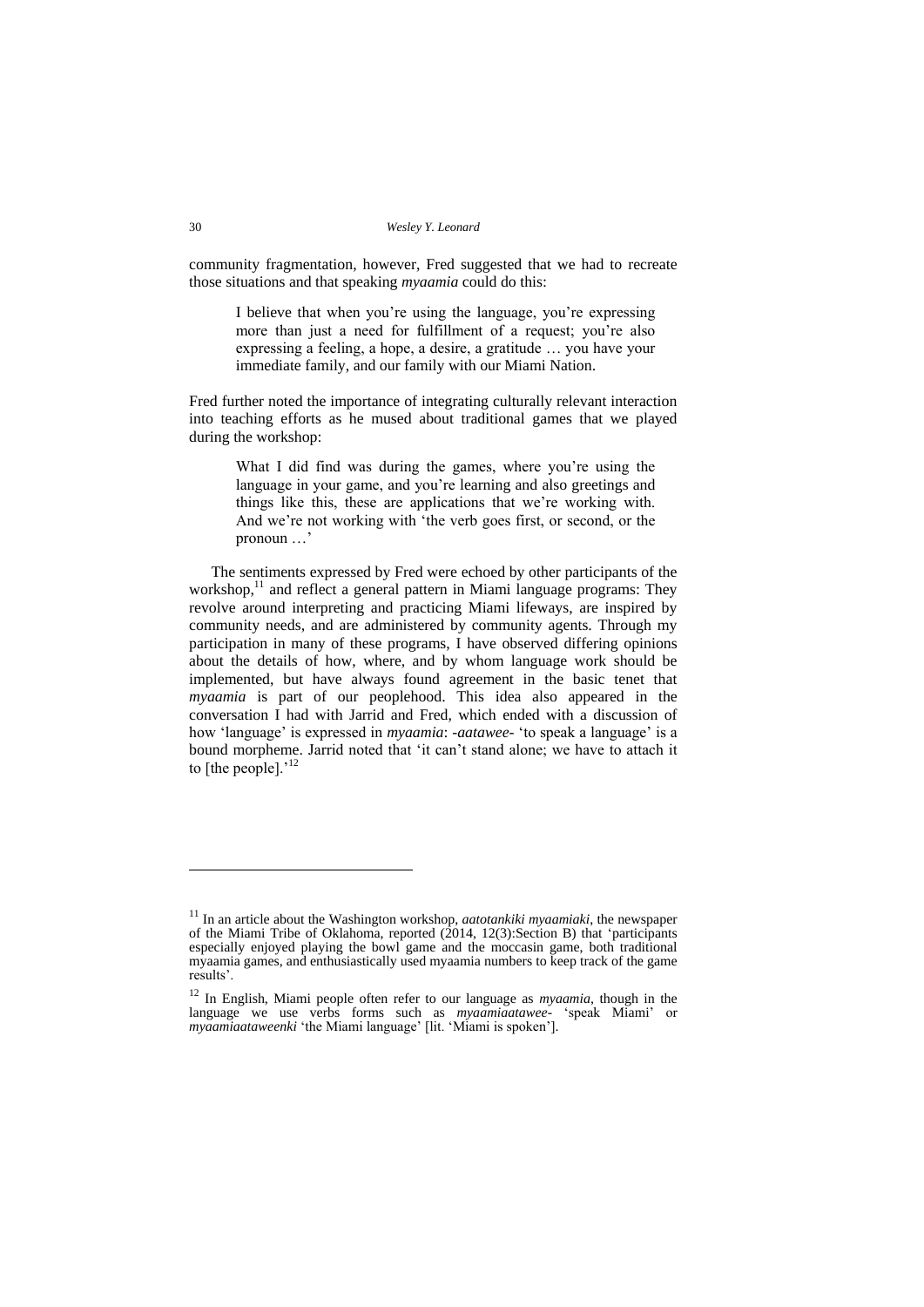community fragmentation, however, Fred suggested that we had to recreate those situations and that speaking *myaamia* could do this:

I believe that when you're using the language, you're expressing more than just a need for fulfillment of a request; you're also expressing a feeling, a hope, a desire, a gratitude … you have your immediate family, and our family with our Miami Nation.

Fred further noted the importance of integrating culturally relevant interaction into teaching efforts as he mused about traditional games that we played during the workshop:

What I did find was during the games, where you're using the language in your game, and you're learning and also greetings and things like this, these are applications that we're working with. And we're not working with 'the verb goes first, or second, or the pronoun …'

The sentiments expressed by Fred were echoed by other participants of the workshop,<sup>11</sup> and reflect a general pattern in Miami language programs: They revolve around interpreting and practicing Miami lifeways, are inspired by community needs, and are administered by community agents. Through my participation in many of these programs, I have observed differing opinions about the details of how, where, and by whom language work should be implemented, but have always found agreement in the basic tenet that *myaamia* is part of our peoplehood. This idea also appeared in the conversation I had with Jarrid and Fred, which ended with a discussion of how 'language' is expressed in *myaamia*: -*aatawee-* 'to speak a language' is a bound morpheme. Jarrid noted that 'it can't stand alone; we have to attach it to  $[$ the people $].$ <sup>12</sup>

<sup>11</sup> In an article about the Washington workshop, *aatotankiki myaamiaki*, the newspaper of the Miami Tribe of Oklahoma, reported (2014, 12(3):Section B) that 'participants especially enjoyed playing the bowl game and the moccasin game, both traditional myaamia games, and enthusiastically used myaamia numbers to keep track of the game results'.

<sup>12</sup> In English, Miami people often refer to our language as *myaamia*, though in the language we use verbs forms such as *myaamiaatawee-* 'speak Miami' or *myaamiaataweenki* 'the Miami language' [lit. 'Miami is spoken'].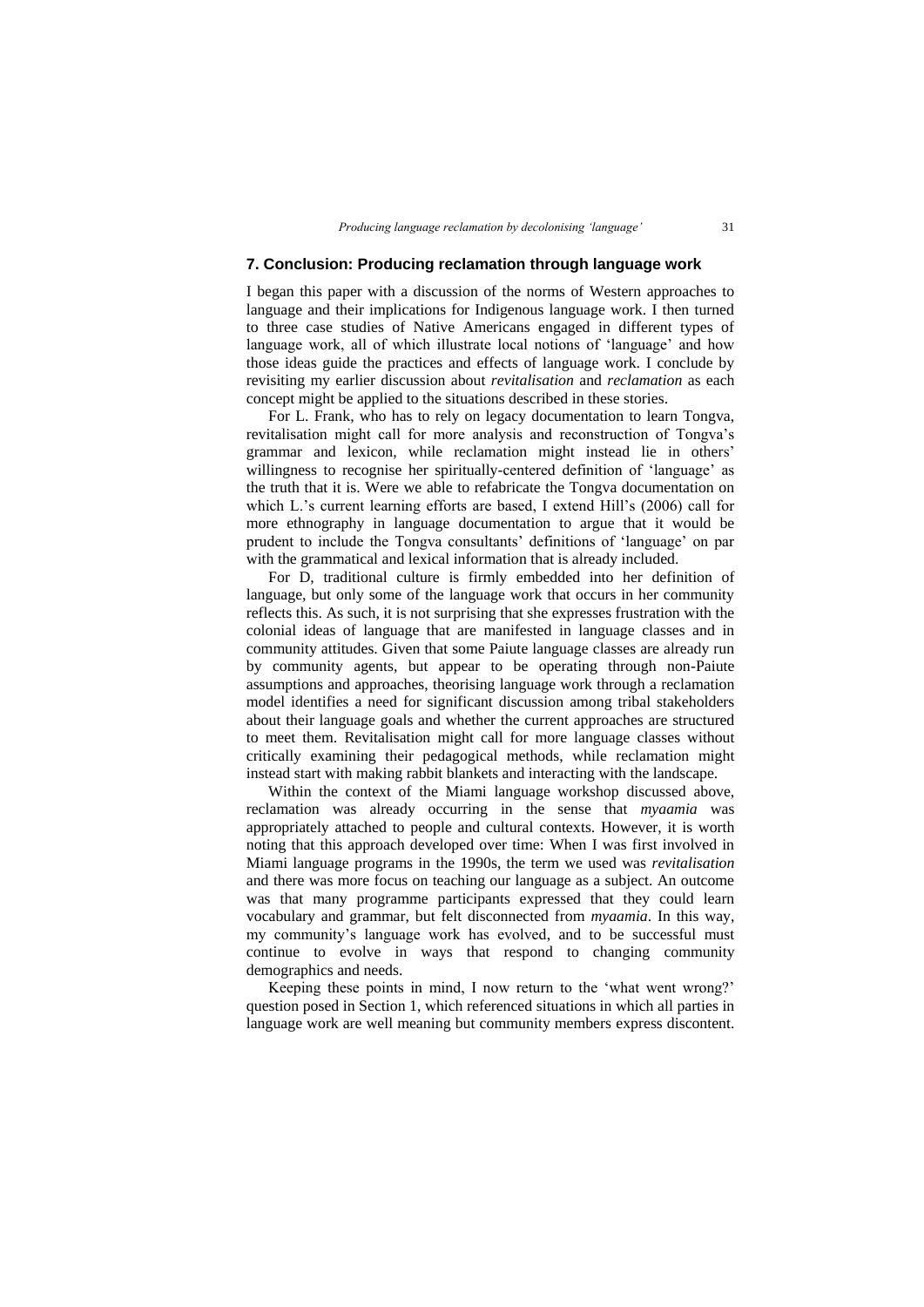## **7. Conclusion: Producing reclamation through language work**

I began this paper with a discussion of the norms of Western approaches to language and their implications for Indigenous language work. I then turned to three case studies of Native Americans engaged in different types of language work, all of which illustrate local notions of 'language' and how those ideas guide the practices and effects of language work. I conclude by revisiting my earlier discussion about *revitalisation* and *reclamation* as each concept might be applied to the situations described in these stories.

For L. Frank, who has to rely on legacy documentation to learn Tongva, revitalisation might call for more analysis and reconstruction of Tongva's grammar and lexicon, while reclamation might instead lie in others' willingness to recognise her spiritually-centered definition of 'language' as the truth that it is. Were we able to refabricate the Tongva documentation on which L.'s current learning efforts are based, I extend Hill's (2006) call for more ethnography in language documentation to argue that it would be prudent to include the Tongva consultants' definitions of 'language' on par with the grammatical and lexical information that is already included.

For D, traditional culture is firmly embedded into her definition of language, but only some of the language work that occurs in her community reflects this. As such, it is not surprising that she expresses frustration with the colonial ideas of language that are manifested in language classes and in community attitudes. Given that some Paiute language classes are already run by community agents, but appear to be operating through non-Paiute assumptions and approaches, theorising language work through a reclamation model identifies a need for significant discussion among tribal stakeholders about their language goals and whether the current approaches are structured to meet them. Revitalisation might call for more language classes without critically examining their pedagogical methods, while reclamation might instead start with making rabbit blankets and interacting with the landscape.

Within the context of the Miami language workshop discussed above, reclamation was already occurring in the sense that *myaamia* was appropriately attached to people and cultural contexts. However, it is worth noting that this approach developed over time: When I was first involved in Miami language programs in the 1990s, the term we used was *revitalisation* and there was more focus on teaching our language as a subject. An outcome was that many programme participants expressed that they could learn vocabulary and grammar, but felt disconnected from *myaamia*. In this way, my community's language work has evolved, and to be successful must continue to evolve in ways that respond to changing community demographics and needs.

Keeping these points in mind, I now return to the 'what went wrong?' question posed in Section 1, which referenced situations in which all parties in language work are well meaning but community members express discontent.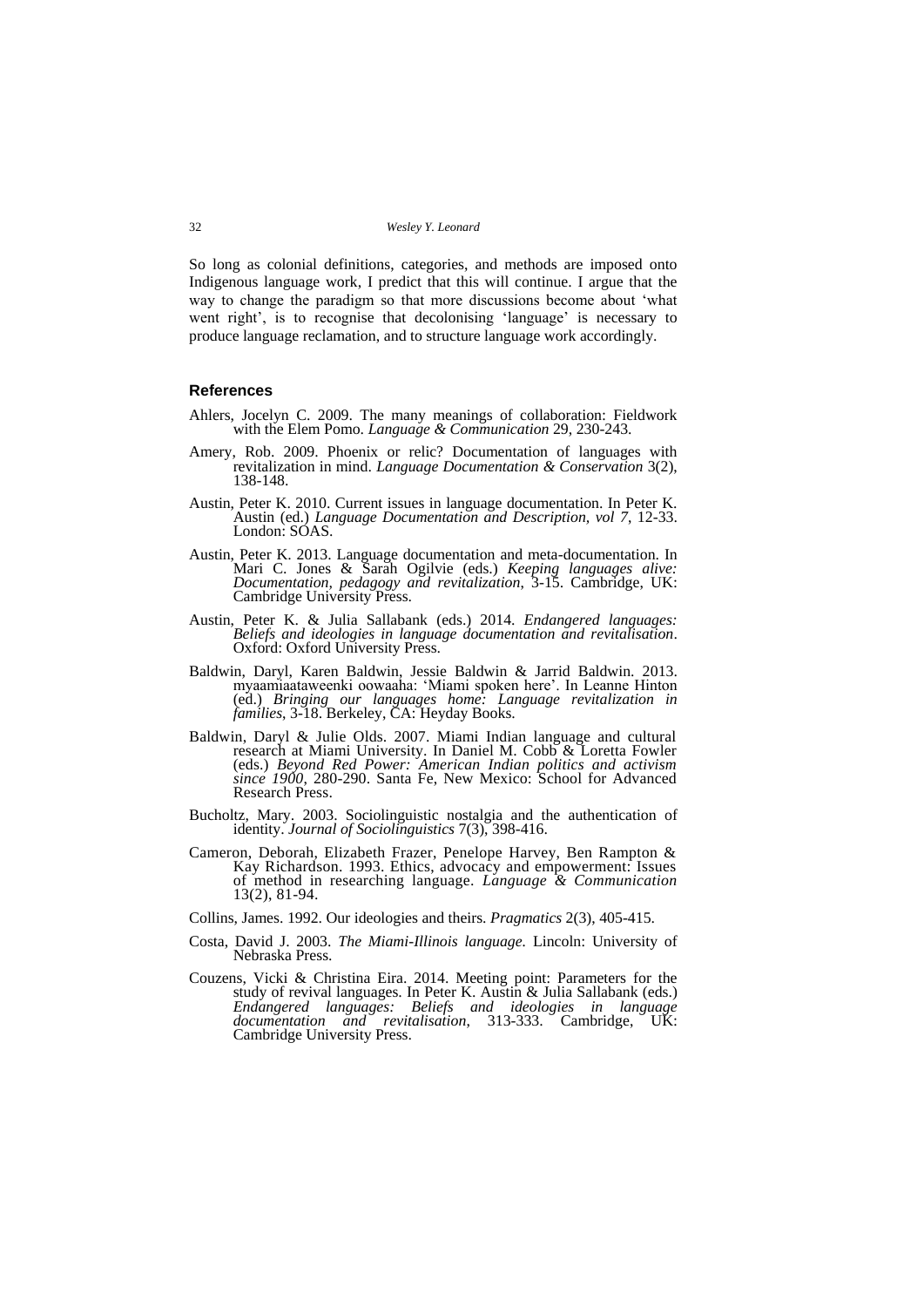So long as colonial definitions, categories, and methods are imposed onto Indigenous language work, I predict that this will continue. I argue that the way to change the paradigm so that more discussions become about 'what went right', is to recognise that decolonising 'language' is necessary to produce language reclamation, and to structure language work accordingly.

#### **References**

- Ahlers, Jocelyn C. 2009. The many meanings of collaboration: Fieldwork with the Elem Pomo. *Language & Communication* 29, 230-243.
- Amery, Rob. 2009. Phoenix or relic? Documentation of languages with revitalization in mind. *Language Documentation & Conservation* 3(2), 138-148.
- Austin, Peter K. 2010. Current issues in language documentation. In Peter K. Austin (ed.) *Language Documentation and Description, vol 7*, 12-33. London: SOAS.
- Austin, Peter K. 2013. Language documentation and meta-documentation. In Mari C. Jones & Sarah Ogilvie (eds.) *Keeping languages alive: Documentation, pedagogy and revitalization*, 3-15. Cambridge, UK: Cambridge University Press.
- Austin, Peter K. & Julia Sallabank (eds.) 2014. *Endangered languages: Beliefs and ideologies in language documentation and revitalisation*. Oxford: Oxford University Press.
- Baldwin, Daryl, Karen Baldwin, Jessie Baldwin & Jarrid Baldwin. 2013. myaamiaataweenki oowaaha: 'Miami spoken here'. In Leanne Hinton (ed.) *Bringing our languages home: Language revitalization in families*, 3-18. Berkeley, CA: Heyday Books.
- Baldwin, Daryl & Julie Olds. 2007. Miami Indian language and cultural research at Miami University. In Daniel M. Cobb & Loretta Fowler (eds.) *Beyond Red Power: American Indian politics and activism since 1900*, 280-290. Santa Fe, New Mexico: School for Advanced Research Press.
- Bucholtz, Mary. 2003. Sociolinguistic nostalgia and the authentication of identity. *Journal of Sociolinguistics* 7(3), 398-416.
- Cameron, Deborah, Elizabeth Frazer, Penelope Harvey, Ben Rampton & Kay Richardson. 1993. Ethics, advocacy and empowerment: Issues of method in researching language. *Language & Communication* 13(2), 81-94.
- Collins, James. 1992. Our ideologies and theirs. *Pragmatics* 2(3), 405-415.
- Costa, David J. 2003. *The Miami-Illinois language.* Lincoln: University of Nebraska Press.
- Couzens, Vicki & Christina Eira. 2014. Meeting point: Parameters for the study of revival languages. In Peter K. Austin & Julia Sallabank (eds.) *Endangered languages: Beliefs and ideologies in language documentation and revitalisation*, 313-333. Cambridge, UK: Cambridge University Press.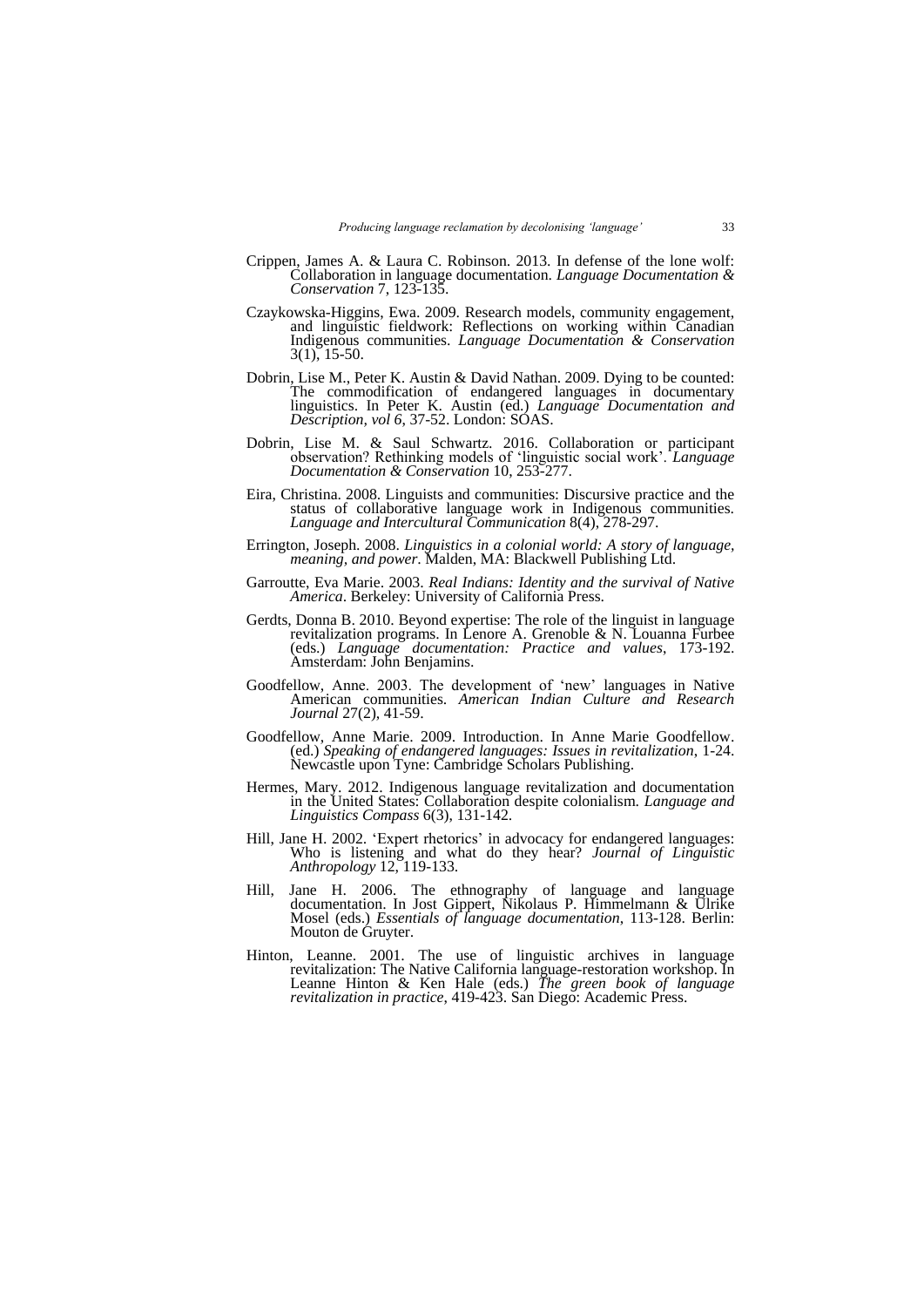- Crippen, James A. & Laura C. Robinson. 2013. In defense of the lone wolf: Collaboration in language documentation. *Language Documentation & Conservation* 7, 123-135.
- Czaykowska-Higgins, Ewa. 2009. Research models, community engagement, and linguistic fieldwork: Reflections on working within Canadian Indigenous communities. *Language Documentation & Conservation* 3(1), 15-50.
- Dobrin, Lise M., Peter K. Austin & David Nathan. 2009. Dying to be counted: The commodification of endangered languages in documentary linguistics. In Peter K. Austin (ed.) *Language Documentation and Description, vol 6*, 37-52. London: SOAS.
- Dobrin, Lise M. & Saul Schwartz. 2016. Collaboration or participant observation? Rethinking models of 'linguistic social work'. *Language Documentation & Conservation* 10, 253-277.
- Eira, Christina. 2008. Linguists and communities: Discursive practice and the status of collaborative language work in Indigenous communities. *Language and Intercultural Communication* 8(4), 278-297.
- Errington, Joseph. 2008. *Linguistics in a colonial world: A story of language, meaning, and power*. Malden, MA: Blackwell Publishing Ltd.
- Garroutte, Eva Marie. 2003. *Real Indians: Identity and the survival of Native America*. Berkeley: University of California Press.
- Gerdts, Donna B. 2010. Beyond expertise: The role of the linguist in language revitalization programs. In Lenore A. Grenoble & N. Louanna Furbee (eds.) *Language documentation: Practice and values*, 173-192. Amsterdam: John Benjamins.
- Goodfellow, Anne. 2003. The development of 'new' languages in Native American communities. *American Indian Culture and Research Journal* 27(2), 41-59.
- Goodfellow, Anne Marie. 2009. Introduction. In Anne Marie Goodfellow. (ed.) *Speaking of endangered languages: Issues in revitalization*, 1-24. Newcastle upon Tyne: Cambridge Scholars Publishing.
- Hermes, Mary. 2012. Indigenous language revitalization and documentation in the United States: Collaboration despite colonialism. *Language and Linguistics Compass* 6(3), 131-142.
- Hill, Jane H. 2002. 'Expert rhetorics' in advocacy for endangered languages: Who is listening and what do they hear? *Journal of Linguistic Anthropology* 12, 119-133.
- Hill, Jane H. 2006. The ethnography of language and language documentation. In Jost Gippert, Nikolaus P. Himmelmann & Ulrike Mosel (eds.) *Essentials of language documentation*, 113-128. Berlin: Mouton de Gruyter.
- Hinton, Leanne. 2001. The use of linguistic archives in language revitalization: The Native California language-restoration workshop. In Leanne Hinton & Ken Hale (eds.) *The green book of language revitalization in practice*, 419-423. San Diego: Academic Press.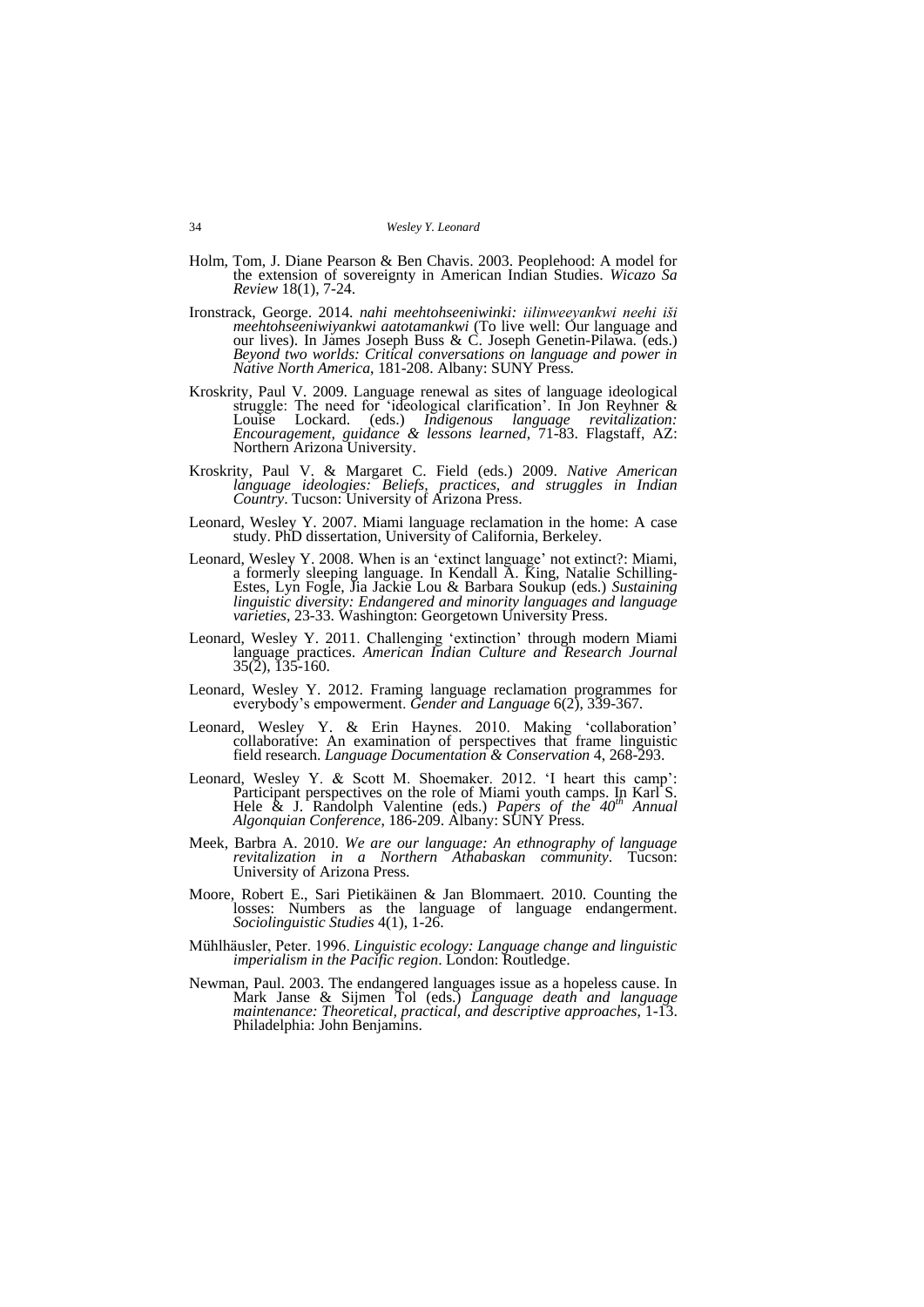- Holm, Tom, J. Diane Pearson & Ben Chavis. 2003. Peoplehood: A model for the extension of sovereignty in American Indian Studies. *Wicazo Sa Review* 18(1), 7-24.
- Ironstrack, George. 2014. *nahi meehtohseeniwinki: iilinweeyankwi neehi iši meehtohseeniwiyankwi aatotamankwi* (To live well: Our language and our lives). In James Joseph Buss & C. Joseph Genetin-Pilawa. (eds.) *Beyond two worlds: Critical conversations on language and power in Native North America*, 181-208. Albany: SUNY Press.
- Kroskrity, Paul V. 2009. Language renewal as sites of language ideological struggle: The need for 'ideological clarification'. In Jon Reyhner & Louise Lockard. (eds.) Indigenous language revitalization: Lockard. (eds.) *Indigenous language revitalization: Encouragement, guidance & lessons learned*, 71-83. Flagstaff, AZ: Northern Arizona University.
- Kroskrity, Paul V. & Margaret C. Field (eds.) 2009. *Native American language ideologies: Beliefs, practices, and struggles in Indian Country*. Tucson: University of Arizona Press.
- Leonard, Wesley Y. 2007. Miami language reclamation in the home: A case study. PhD dissertation, University of California, Berkeley.
- Leonard, Wesley Y. 2008. When is an 'extinct language' not extinct?: Miami, a formerly sleeping language. In Kendall A. King, Natalie Schilling-Estes, Lyn Fogle, Jia Jackie Lou & Barbara Soukup (eds.) *Sustaining linguistic diversity: Endangered and minority languages and language varieties*, 23-33. Washington: Georgetown University Press.
- Leonard, Wesley Y. 2011. Challenging 'extinction' through modern Miami language practices. *American Indian Culture and Research Journal* 35(2), 135-160.
- Leonard, Wesley Y. 2012. Framing language reclamation programmes for everybody's empowerment. *Gender and Language* 6(2), 339-367.
- Leonard, Wesley Y. & Erin Haynes. 2010. Making 'collaboration' collaborative: An examination of perspectives that frame linguistic field research. *Language Documentation & Conservation* 4, 268-293.
- Leonard, Wesley Y. & Scott M. Shoemaker. 2012. 'I heart this camp': Participant perspectives on the role of Miami youth camps. In Karl S. Hele & J. Randolph Valentine (eds.) *Papers of the 40<sup>th</sup> Annual Algonquian Conference*, 186-209. Albany: SUNY Press.
- Meek, Barbra A. 2010. *We are our language: An ethnography of language revitalization in a Northern Athabaskan community*. Tucson: University of Arizona Press.
- Moore, Robert E., Sari Pietikäinen & Jan Blommaert. 2010. Counting the losses: Numbers as the language of language endangerment. *Sociolinguistic Studies* 4(1), 1-26.
- Mühlhäusler, Peter. 1996. *Linguistic ecology: Language change and linguistic imperialism in the Pacific region*. London: Routledge.
- Newman, Paul. 2003. The endangered languages issue as a hopeless cause. In Mark Janse & Sijmen Tol (eds.) *Language death and language maintenance: Theoretical, practical, and descriptive approaches*, 1-13. Philadelphia: John Benjamins.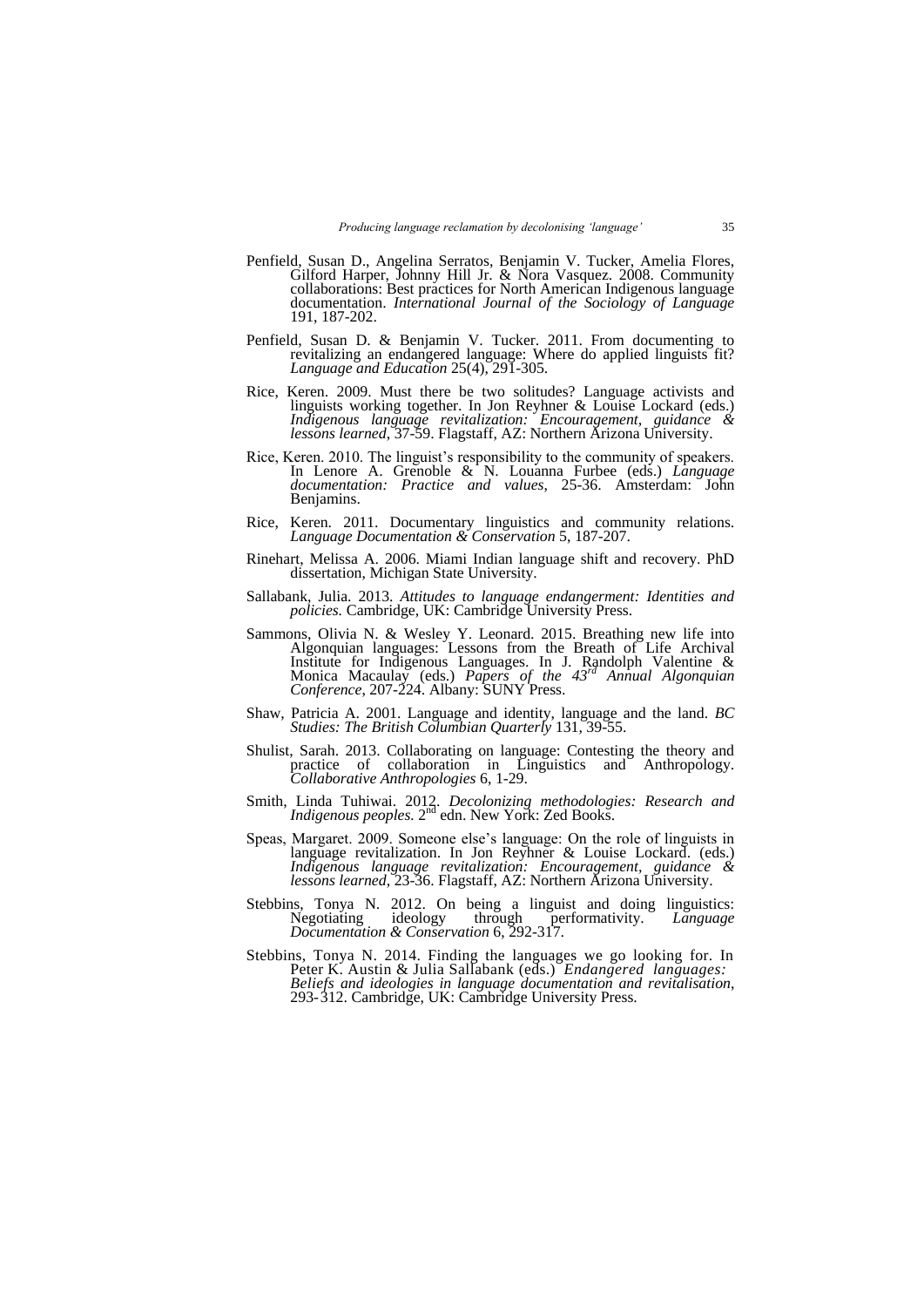- Penfield, Susan D., Angelina Serratos, Benjamin V. Tucker, Amelia Flores, Gilford Harper, Johnny Hill Jr. & Nora Vasquez. 2008. Community collaborations: Best practices for North American Indigenous language documentation. *International Journal of the Sociology of Language* 191, 187-202.
- Penfield, Susan D. & Benjamin V. Tucker. 2011. From documenting to revitalizing an endangered language: Where do applied linguists fit? *Language and Education* 25(4), 291-305.
- Rice, Keren. 2009. Must there be two solitudes? Language activists and linguists working together. In Jon Reyhner & Louise Lockard (eds.) *Indigenous language revitalization: Encouragement, guidance & lessons learned*, 37-59. Flagstaff, AZ: Northern Arizona University.
- Rice, Keren. 2010. The linguist's responsibility to the community of speakers. In Lenore A. Grenoble & N. Louanna Furbee (eds.) *Language documentation: Practice and values*, 25-36. Amsterdam: John Benjamins.
- Rice, Keren. 2011. Documentary linguistics and community relations. *Language Documentation & Conservation* 5, 187-207.
- Rinehart, Melissa A. 2006. Miami Indian language shift and recovery. PhD dissertation, Michigan State University.
- Sallabank, Julia. 2013. *Attitudes to language endangerment: Identities and policies.* Cambridge, UK: Cambridge University Press.
- Sammons, Olivia N. & Wesley Y. Leonard. 2015. Breathing new life into Algonquian languages: Lessons from the Breath of Life Archival Institute for Indigenous Languages. In J. Randolph Valentine & Monica Macaulay (eds.) *Papers of the 43rd Annual Algonquian Conference*, 207-224. Albany: SUNY Press.
- Shaw, Patricia A. 2001. Language and identity, language and the land. *BC Studies: The British Columbian Quarterly* 131, 39-55.
- Shulist, Sarah. 2013. Collaborating on language: Contesting the theory and practice of collaboration in Linguistics and Anthropology. *Collaborative Anthropologies* 6, 1-29.
- Smith, Linda Tuhiwai. 2012. *Decolonizing methodologies: Research and Indigenous peoples.* 2<sup>nd</sup> edn. New York: Zed Books.
- Speas, Margaret. 2009. Someone else's language: On the role of linguists in language revitalization. In Jon Reyhner & Louise Lockard. (eds.) *Indigenous language revitalization: Encouragement, guidance & lessons learned*, 23-36. Flagstaff, AZ: Northern Arizona University.
- Stebbins, Tonya N. 2012. On being a linguist and doing linguistics: Negotiating ideology through performativity. *Language Documentation & Conservation* 6, 292-317.
- Stebbins, Tonya N. 2014. Finding the languages we go looking for. In Peter K. Austin & Julia Sallabank (eds.) *Endangered languages: Beliefs and ideologies in language documentation and revitalisation*, 293-312. Cambridge, UK: Cambridge University Press.